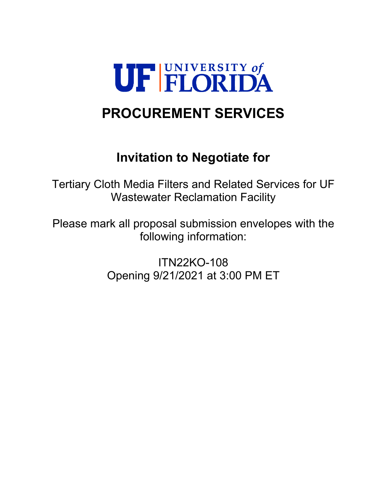

# **PROCUREMENT SERVICES**

# **Invitation to Negotiate for**

Tertiary Cloth Media Filters and Related Services for UF Wastewater Reclamation Facility

Please mark all proposal submission envelopes with the following information:

> ITN22KO-108 Opening 9/21/2021 at 3:00 PM ET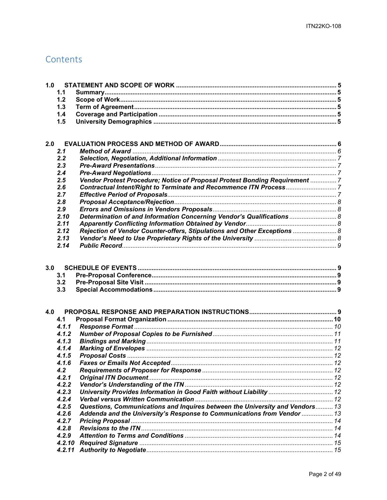## Contents

| 1.0 |                   |                                                                              |  |
|-----|-------------------|------------------------------------------------------------------------------|--|
|     | 1.1               |                                                                              |  |
|     | 1.2               |                                                                              |  |
|     | 1.3               |                                                                              |  |
|     | 1.4               |                                                                              |  |
|     | 1.5               |                                                                              |  |
|     |                   |                                                                              |  |
| 2.0 |                   |                                                                              |  |
|     | 2.1               |                                                                              |  |
|     | 2.2               |                                                                              |  |
|     | 2.3               |                                                                              |  |
|     | 2.4               |                                                                              |  |
|     | 2.5               | Vendor Protest Procedure; Notice of Proposal Protest Bonding Requirement  7  |  |
|     | 2.6               |                                                                              |  |
|     | 2.7               |                                                                              |  |
|     | 2.8               |                                                                              |  |
|     | 2.9               |                                                                              |  |
|     | 2.10              | Determination of and Information Concerning Vendor's Qualifications  8       |  |
|     | 2.11              |                                                                              |  |
|     | 2.12              | Rejection of Vendor Counter-offers, Stipulations and Other Exceptions  8     |  |
|     | 2.13              |                                                                              |  |
|     | 2.14              |                                                                              |  |
| 3.0 | 3.1<br>3.2<br>3.3 |                                                                              |  |
| 4.0 |                   |                                                                              |  |
|     | 4.1               |                                                                              |  |
|     | 4.1.1             |                                                                              |  |
|     | 4.1.2             |                                                                              |  |
|     | 4.1.3             |                                                                              |  |
|     | 4.1.4             |                                                                              |  |
|     | 4.1.5             |                                                                              |  |
|     | 4.1.6             |                                                                              |  |
|     | 4.2               |                                                                              |  |
|     | 4.2.1             |                                                                              |  |
|     | 4.2.2             |                                                                              |  |
|     | 4.2.3             |                                                                              |  |
|     | 4.2.4             |                                                                              |  |
|     | 4.2.5             | Questions, Communications and Inquires between the University and Vendors 13 |  |
|     | 4.2.6             | Addenda and the University's Response to Communications from Vendor  13      |  |
|     | 4.2.7             |                                                                              |  |
|     | 4.2.8             |                                                                              |  |
|     | 4.2.9             |                                                                              |  |
|     | 4.2.10            |                                                                              |  |
|     | 4.2.11            |                                                                              |  |
|     |                   |                                                                              |  |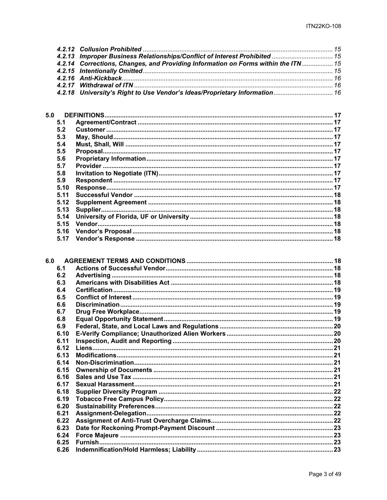| 4.2.13 Improper Business Relationships/Conflict of Interest Prohibited  15        |  |
|-----------------------------------------------------------------------------------|--|
| 4.2.14 Corrections, Changes, and Providing Information on Forms within the ITN 15 |  |
|                                                                                   |  |
|                                                                                   |  |
|                                                                                   |  |
| 4.2.18 University's Right to Use Vendor's Ideas/Proprietary Information 16        |  |

| 5.0   |  |
|-------|--|
| 5.1   |  |
| 5.2   |  |
| 5.3   |  |
| 5.4   |  |
| 5.5   |  |
| 5.6   |  |
| 5.7   |  |
| 5.8   |  |
| 5.9   |  |
| 5.10  |  |
| 5 1 1 |  |
| 5.12  |  |
| 5.13  |  |
| 5.14  |  |
| 5.15  |  |
| 5.16  |  |
| 5.17  |  |

| 6.0  |  |
|------|--|
| 6.1  |  |
| 6.2  |  |
| 6.3  |  |
| 6.4  |  |
| 6.5  |  |
| 6.6  |  |
| 6.7  |  |
| 6.8  |  |
| 6.9  |  |
| 6.10 |  |
| 6.11 |  |
| 6.12 |  |
| 6.13 |  |
| 6.14 |  |
| 6.15 |  |
| 6.16 |  |
| 6.17 |  |
| 6.18 |  |
| 6.19 |  |
| 6.20 |  |
| 6.21 |  |
| 6.22 |  |
| 6.23 |  |
| 6.24 |  |
| 6.25 |  |
| 6.26 |  |
|      |  |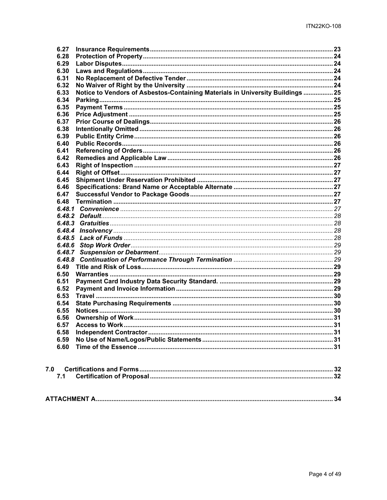| 6.27                                                                                   |  |
|----------------------------------------------------------------------------------------|--|
| 6.28                                                                                   |  |
| 6.29                                                                                   |  |
| 6.30                                                                                   |  |
| 6.31                                                                                   |  |
| 6.32                                                                                   |  |
| Notice to Vendors of Asbestos-Containing Materials in University Buildings  25<br>6.33 |  |
| 6.34                                                                                   |  |
| 6.35                                                                                   |  |
| 6.36                                                                                   |  |
| 6.37                                                                                   |  |
| 6.38                                                                                   |  |
| 6.39                                                                                   |  |
| 6.40                                                                                   |  |
| 6.41                                                                                   |  |
| 6.42                                                                                   |  |
| 6.43                                                                                   |  |
| 6.44                                                                                   |  |
| 6.45                                                                                   |  |
| 6.46                                                                                   |  |
| 6.47                                                                                   |  |
| 6.48                                                                                   |  |
|                                                                                        |  |
|                                                                                        |  |
|                                                                                        |  |
|                                                                                        |  |
|                                                                                        |  |
| 6,48.6                                                                                 |  |
| 6.48.7                                                                                 |  |
| 6.48.8                                                                                 |  |
| 6.49                                                                                   |  |
| 6.50                                                                                   |  |
| 6.51                                                                                   |  |
| 6.52                                                                                   |  |
| 6.53                                                                                   |  |
| 6.54                                                                                   |  |
| 6.55                                                                                   |  |
| 6.56                                                                                   |  |
| 6.57                                                                                   |  |
| 6.58                                                                                   |  |
| 6.59                                                                                   |  |
| 6.60                                                                                   |  |
|                                                                                        |  |

|--|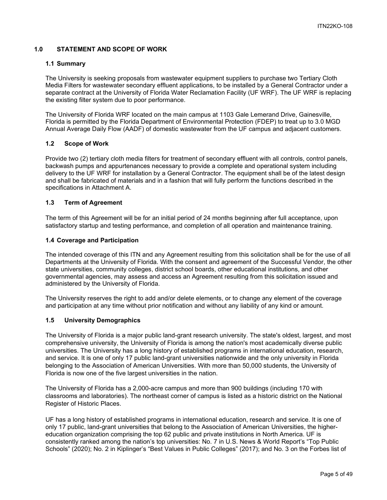## <span id="page-4-0"></span>**1.0 STATEMENT AND SCOPE OF WORK**

#### <span id="page-4-1"></span>**1.1 Summary**

The University is seeking proposals from wastewater equipment suppliers to purchase two Tertiary Cloth Media Filters for wastewater secondary effluent applications, to be installed by a General Contractor under a separate contract at the University of Florida Water Reclamation Facility (UF WRF). The UF WRF is replacing the existing filter system due to poor performance.

The University of Florida WRF located on the main campus at 1103 Gale Lemerand Drive, Gainesville, Florida is permitted by the Florida Department of Environmental Protection (FDEP) to treat up to 3.0 MGD Annual Average Daily Flow (AADF) of domestic wastewater from the UF campus and adjacent customers.

#### <span id="page-4-2"></span>**1.2 Scope of Work**

Provide two (2) tertiary cloth media filters for treatment of secondary effluent with all controls, control panels, backwash pumps and appurtenances necessary to provide a complete and operational system including delivery to the UF WRF for installation by a General Contractor. The equipment shall be of the latest design and shall be fabricated of materials and in a fashion that will fully perform the functions described in the specifications in Attachment A.

#### <span id="page-4-3"></span>**1.3 Term of Agreement**

The term of this Agreement will be for an initial period of 24 months beginning after full acceptance, upon satisfactory startup and testing performance, and completion of all operation and maintenance training.

#### <span id="page-4-4"></span>**1.4 Coverage and Participation**

The intended coverage of this ITN and any Agreement resulting from this solicitation shall be for the use of all Departments at the University of Florida. With the consent and agreement of the Successful Vendor, the other state universities, community colleges, district school boards, other educational institutions, and other governmental agencies, may assess and access an Agreement resulting from this solicitation issued and administered by the University of Florida.

The University reserves the right to add and/or delete elements, or to change any element of the coverage and participation at any time without prior notification and without any liability of any kind or amount.

#### <span id="page-4-5"></span>**1.5 University Demographics**

The University of Florida is a major public land-grant research university. The state's oldest, largest, and most comprehensive university, the University of Florida is among the nation's most academically diverse public universities. The University has a long history of established programs in international education, research, and service. It is one of only 17 public land-grant universities nationwide and the only university in Florida belonging to the Association of American Universities. With more than 50,000 students, the University of Florida is now one of the five largest universities in the nation.

The University of Florida has a 2,000-acre campus and more than 900 buildings (including 170 with classrooms and laboratories). The northeast corner of campus is listed as a historic district on the National Register of Historic Places.

UF has a long history of established programs in international education, research and service. It is one of only 17 public, land-grant universities that belong to the Association of American Universities, the highereducation organization comprising the top 62 public and private institutions in North America. UF is consistently ranked among the nation's top universities: No. 7 in U.S. News & World Report's "Top Public Schools" (2020); No. 2 in Kiplinger's "Best Values in Public Colleges" (2017); and No. 3 on the Forbes list of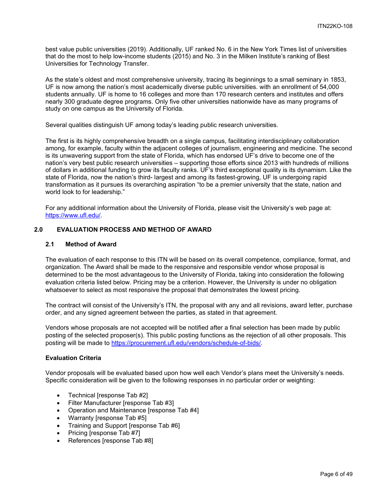best value public universities (2019). Additionally, UF ranked No. 6 in the New York Times list of universities that do the most to help low-income students (2015) and No. 3 in the Milken Institute's ranking of Best Universities for Technology Transfer.

As the state's oldest and most comprehensive university, tracing its beginnings to a small seminary in 1853, UF is now among the nation's most academically diverse public universities. with an enrollment of 54,000 students annually. UF is home to 16 colleges and more than 170 research centers and institutes and offers nearly 300 graduate degree programs. Only five other universities nationwide have as many programs of study on one campus as the University of Florida.

Several qualities distinguish UF among today's leading public research universities.

The first is its highly comprehensive breadth on a single campus, facilitating interdisciplinary collaboration among, for example, faculty within the adjacent colleges of journalism, engineering and medicine. The second is its unwavering support from the state of Florida, which has endorsed UF's drive to become one of the nation's very best public research universities – supporting those efforts since 2013 with hundreds of millions of dollars in additional funding to grow its faculty ranks. UF's third exceptional quality is its dynamism. Like the state of Florida, now the nation's third- largest and among its fastest-growing, UF is undergoing rapid transformation as it pursues its overarching aspiration "to be a premier university that the state, nation and world look to for leadership."

For any additional information about the University of Florida, please visit the University's web page at: [https://www.ufl.edu/.](https://www.ufl.edu/)

## <span id="page-5-0"></span>**2.0 EVALUATION PROCESS AND METHOD OF AWARD**

#### <span id="page-5-1"></span>**2.1 Method of Award**

The evaluation of each response to this ITN will be based on its overall competence, compliance, format, and organization. The Award shall be made to the responsive and responsible vendor whose proposal is determined to be the most advantageous to the University of Florida, taking into consideration the following evaluation criteria listed below. Pricing may be a criterion. However, the University is under no obligation whatsoever to select as most responsive the proposal that demonstrates the lowest pricing.

The contract will consist of the University's ITN, the proposal with any and all revisions, award letter, purchase order, and any signed agreement between the parties, as stated in that agreement.

Vendors whose proposals are not accepted will be notified after a final selection has been made by public posting of the selected proposer(s). This public posting functions as the rejection of all other proposals. This posting will be made to [https://procurement.ufl.edu/vendors/schedule-of-bids/.](https://procurement.ufl.edu/vendors/schedule-of-bids/)

#### **Evaluation Criteria**

Vendor proposals will be evaluated based upon how well each Vendor's plans meet the University's needs. Specific consideration will be given to the following responses in no particular order or weighting:

- Technical [response Tab #2]
- Filter Manufacturer [response Tab #3]
- Operation and Maintenance [response Tab #4]
- Warranty Iresponse Tab #51
- Training and Support [response Tab #6]
- Pricing [response Tab #7]
- References [response Tab #8]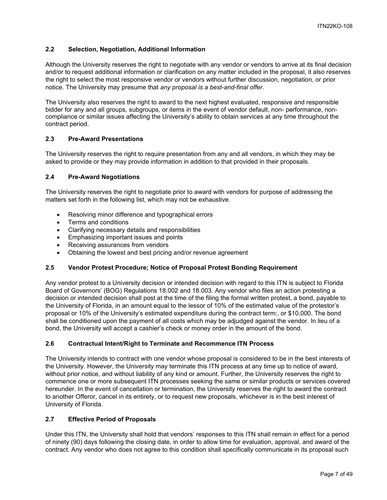## <span id="page-6-0"></span>**2.2 Selection, Negotiation, Additional Information**

Although the University reserves the right to negotiate with any vendor or vendors to arrive at its final decision and/or to request additional information or clarification on any matter included in the proposal, it also reserves the right to select the most responsive vendor or vendors without further discussion, negotiation, or prior notice. The University may presume that *any proposal is a best-and-final offer.*

The University also reserves the right to award to the next highest evaluated, responsive and responsible bidder for any and all groups, subgroups, or items in the event of vendor default, non- performance, noncompliance or similar issues affecting the University's ability to obtain services at any time throughout the contract period.

## <span id="page-6-1"></span>**2.3 Pre-Award Presentations**

The University reserves the right to require presentation from any and all vendors, in which they may be asked to provide or they may provide information in addition to that provided in their proposals.

#### <span id="page-6-2"></span>**2.4 Pre-Award Negotiations**

The University reserves the right to negotiate prior to award with vendors for purpose of addressing the matters set forth in the following list, which may not be exhaustive.

- Resolving minor difference and typographical errors
- Terms and conditions
- Clarifying necessary details and responsibilities
- Emphasizing important issues and points
- Receiving assurances from vendors
- Obtaining the lowest and best pricing and/or revenue agreement

#### <span id="page-6-3"></span>**2.5 Vendor Protest Procedure; Notice of Proposal Protest Bonding Requirement**

Any vendor protest to a University decision or intended decision with regard to this ITN is subject to Florida Board of Governors' (BOG) Regulations 18.002 and 18.003. Any vendor who files an action protesting a decision or intended decision shall post at the time of the filing the formal written protest, a bond, payable to the University of Florida, in an amount equal to the lessor of 10% of the estimated value of the protestor's proposal or 10% of the University's estimated expenditure during the contract term:, or \$10,000. The bond shall be conditioned upon the payment of all costs which may be adjudged against the vendor. In lieu of a bond, the University will accept a cashier's check or money order in the amount of the bond.

### <span id="page-6-4"></span>**2.6 Contractual Intent/Right to Terminate and Recommence ITN Process**

The University intends to contract with one vendor whose proposal is considered to be in the best interests of the University. However, the University may terminate this ITN process at any time up to notice of award, without prior notice, and without liability of any kind or amount. Further, the University reserves the right to commence one or more subsequent ITN processes seeking the same or similar products or services covered hereunder. In the event of cancellation or termination, the University reserves the right to award the contract to another Offeror, cancel in its entirety, or to request new proposals, whichever is in the best interest of University of Florida.

#### <span id="page-6-5"></span>**2.7 Effective Period of Proposals**

Under this ITN, the University shall hold that vendors' responses to this ITN shall remain in effect for a period of ninety (90) days following the closing date, in order to allow time for evaluation, approval, and award of the contract. Any vendor who does not agree to this condition shall specifically communicate in its proposal such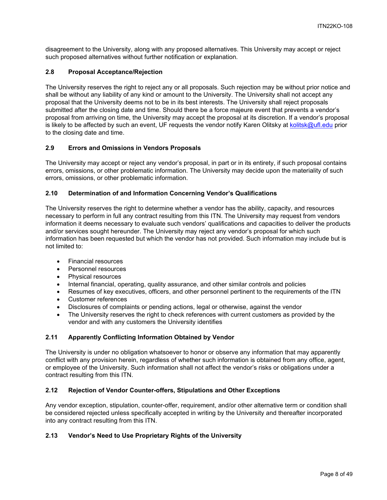disagreement to the University, along with any proposed alternatives. This University may accept or reject such proposed alternatives without further notification or explanation.

## <span id="page-7-0"></span>**2.8 Proposal Acceptance/Rejection**

The University reserves the right to reject any or all proposals. Such rejection may be without prior notice and shall be without any liability of any kind or amount to the University. The University shall not accept any proposal that the University deems not to be in its best interests. The University shall reject proposals submitted after the closing date and time. Should there be a force majeure event that prevents a vendor's proposal from arriving on time, the University may accept the proposal at its discretion. If a vendor's proposal is likely to be affected by such an event, UF requests the vendor notify Karen Olitsky at [kolitsk@ufl.edu](mailto:kolitsk@ufl.edu) prior to the closing date and time.

## <span id="page-7-1"></span>**2.9 Errors and Omissions in Vendors Proposals**

The University may accept or reject any vendor's proposal, in part or in its entirety, if such proposal contains errors, omissions, or other problematic information. The University may decide upon the materiality of such errors, omissions, or other problematic information.

## <span id="page-7-2"></span>**2.10 Determination of and Information Concerning Vendor's Qualifications**

The University reserves the right to determine whether a vendor has the ability, capacity, and resources necessary to perform in full any contract resulting from this ITN. The University may request from vendors information it deems necessary to evaluate such vendors' qualifications and capacities to deliver the products and/or services sought hereunder. The University may reject any vendor's proposal for which such information has been requested but which the vendor has not provided. Such information may include but is not limited to:

- Financial resources
- Personnel resources
- Physical resources
- Internal financial, operating, quality assurance, and other similar controls and policies
- Resumes of key executives, officers, and other personnel pertinent to the requirements of the ITN
- Customer references
- Disclosures of complaints or pending actions, legal or otherwise, against the vendor
- The University reserves the right to check references with current customers as provided by the vendor and with any customers the University identifies

#### <span id="page-7-3"></span>**2.11 Apparently Conflicting Information Obtained by Vendor**

The University is under no obligation whatsoever to honor or observe any information that may apparently conflict with any provision herein, regardless of whether such information is obtained from any office, agent, or employee of the University. Such information shall not affect the vendor's risks or obligations under a contract resulting from this ITN.

#### <span id="page-7-4"></span>**2.12 Rejection of Vendor Counter-offers, Stipulations and Other Exceptions**

Any vendor exception, stipulation, counter-offer, requirement, and/or other alternative term or condition shall be considered rejected unless specifically accepted in writing by the University and thereafter incorporated into any contract resulting from this ITN.

#### <span id="page-7-5"></span>**2.13 Vendor's Need to Use Proprietary Rights of the University**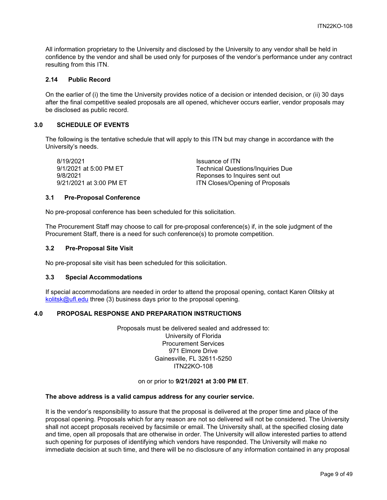All information proprietary to the University and disclosed by the University to any vendor shall be held in confidence by the vendor and shall be used only for purposes of the vendor's performance under any contract resulting from this ITN.

## <span id="page-8-0"></span>**2.14 Public Record**

On the earlier of (i) the time the University provides notice of a decision or intended decision, or (ii) 30 days after the final competitive sealed proposals are all opened, whichever occurs earlier, vendor proposals may be disclosed as public record.

## <span id="page-8-1"></span>**3.0 SCHEDULE OF EVENTS**

The following is the tentative schedule that will apply to this ITN but may change in accordance with the University's needs.

8/19/2021 Issuance of ITN

9/1/2021 at 5:00 PM ET Technical Questions/Inquiries Due 9/8/2021 Reponses to Inquires sent out ITN Closes/Opening of Proposals

#### <span id="page-8-2"></span>**3.1 Pre-Proposal Conference**

No pre-proposal conference has been scheduled for this solicitation.

The Procurement Staff may choose to call for pre-proposal conference(s) if, in the sole judgment of the Procurement Staff, there is a need for such conference(s) to promote competition.

#### <span id="page-8-3"></span>**3.2 Pre-Proposal Site Visit**

No pre-proposal site visit has been scheduled for this solicitation.

#### <span id="page-8-4"></span>**3.3 Special Accommodations**

If special accommodations are needed in order to attend the proposal opening, contact Karen Olitsky at [kolitsk@ufl.edu](mailto:kolitsk@ufl.edu) three (3) business days prior to the proposal opening.

#### <span id="page-8-5"></span>**4.0 PROPOSAL RESPONSE AND PREPARATION INSTRUCTIONS**

Proposals must be delivered sealed and addressed to: University of Florida Procurement Services 971 Elmore Drive Gainesville, FL 32611-5250 ITN22KO-108

#### on or prior to **9/21/2021 at 3:00 PM ET**.

#### **The above address is a valid campus address for any courier service.**

It is the vendor's responsibility to assure that the proposal is delivered at the proper time and place of the proposal opening. Proposals which for any reason are not so delivered will not be considered. The University shall not accept proposals received by facsimile or email. The University shall, at the specified closing date and time, open all proposals that are otherwise in order. The University will allow interested parties to attend such opening for purposes of identifying which vendors have responded. The University will make no immediate decision at such time, and there will be no disclosure of any information contained in any proposal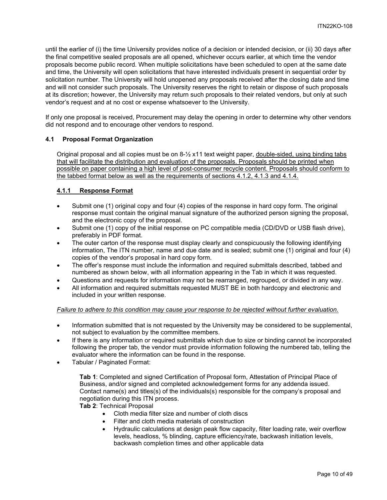until the earlier of (i) the time University provides notice of a decision or intended decision, or (ii) 30 days after the final competitive sealed proposals are all opened, whichever occurs earlier, at which time the vendor proposals become public record. When multiple solicitations have been scheduled to open at the same date and time, the University will open solicitations that have interested individuals present in sequential order by solicitation number. The University will hold unopened any proposals received after the closing date and time and will not consider such proposals. The University reserves the right to retain or dispose of such proposals at its discretion; however, the University may return such proposals to their related vendors, but only at such vendor's request and at no cost or expense whatsoever to the University.

If only one proposal is received, Procurement may delay the opening in order to determine why other vendors did not respond and to encourage other vendors to respond.

#### <span id="page-9-0"></span>**4.1 Proposal Format Organization**

Original proposal and all copies must be on 8-½ x11 text weight paper, double-sided, using binding tabs that will facilitate the distribution and evaluation of the proposals. Proposals should be printed when possible on paper containing a high level of post-consumer recycle content. Proposals should conform to the tabbed format below as well as the requirements of sections 4.1.2, 4.1.3 and 4.1.4.

## <span id="page-9-1"></span>**4.1.1 Response Format**

- Submit one (1) original copy and four (4) copies of the response in hard copy form. The original response must contain the original manual signature of the authorized person signing the proposal, and the electronic copy of the proposal.
- Submit one (1) copy of the initial response on PC compatible media (CD/DVD or USB flash drive), preferably in PDF format.
- The outer carton of the response must display clearly and conspicuously the following identifying information, The ITN number, name and due date and is sealed; submit one (1) original and four (4) copies of the vendor's proposal in hard copy form.
- The offer's response must include the information and required submittals described, tabbed and numbered as shown below, with all information appearing in the Tab in which it was requested.
- Questions and requests for information may not be rearranged, regrouped, or divided in any way.
- All information and required submittals requested MUST BE in both hardcopy and electronic and included in your written response.

#### *Failure to adhere to this condition may cause your response to be rejected without further evaluation.*

- Information submitted that is not requested by the University may be considered to be supplemental, not subject to evaluation by the committee members.
- If there is any information or required submittals which due to size or binding cannot be incorporated following the proper tab, the vendor must provide information following the numbered tab, telling the evaluator where the information can be found in the response.
- Tabular / Paginated Format:

**Tab 1**: Completed and signed Certification of Proposal form, Attestation of Principal Place of Business, and/or signed and completed acknowledgement forms for any addenda issued. Contact name(s) and titles(s) of the individuals(s) responsible for the company's proposal and negotiation during this ITN process.

**Tab 2**: Technical Proposal

- Cloth media filter size and number of cloth discs
- Filter and cloth media materials of construction
- Hydraulic calculations at design peak flow capacity, filter loading rate, weir overflow levels, headloss, % blinding, capture efficiency/rate, backwash initiation levels, backwash completion times and other applicable data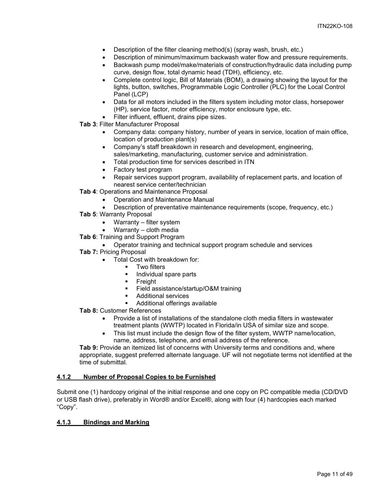- Description of the filter cleaning method(s) (spray wash, brush, etc.)
- Description of minimum/maximum backwash water flow and pressure requirements.
- Backwash pump model/make/materials of construction/hydraulic data including pump curve, design flow, total dynamic head (TDH), efficiency, etc.
- Complete control logic, Bill of Materials (BOM), a drawing showing the layout for the lights, button, switches, Programmable Logic Controller (PLC) for the Local Control Panel (LCP)
- Data for all motors included in the filters system including motor class, horsepower (HP), service factor, motor efficiency, motor enclosure type, etc.
- Filter influent, effluent, drains pipe sizes.
- **Tab 3**: Filter Manufacturer Proposal
	- Company data: company history, number of years in service, location of main office, location of production plant(s)
	- Company's staff breakdown in research and development, engineering, sales/marketing, manufacturing, customer service and administration.
	- Total production time for services described in ITN
	- Factory test program
	- Repair services support program, availability of replacement parts, and location of nearest service center/technician
- **Tab 4**: Operations and Maintenance Proposal
	- Operation and Maintenance Manual
	- Description of preventative maintenance requirements (scope, frequency, etc.)
- **Tab 5**: Warranty Proposal
	- Warranty filter system
	- Warranty cloth media
- **Tab 6**: Training and Support Program
	- Operator training and technical support program schedule and services
- **Tab 7:** Pricing Proposal
	- Total Cost with breakdown for:
		- **Two filters**
		- **Individual spare parts**
		- **Freight**
		- Field assistance/startup/O&M training
		- Additional services
		- Additional offerings available
- **Tab 8:** Customer References
	- Provide a list of installations of the standalone cloth media filters in wastewater treatment plants (WWTP) located in Florida/in USA of similar size and scope.
	- This list must include the design flow of the filter system, WWTP name/location, name, address, telephone, and email address of the reference.

**Tab 9:** Provide an itemized list of concerns with University terms and conditions and, where appropriate, suggest preferred alternate language. UF will not negotiate terms not identified at the time of submittal.

## <span id="page-10-0"></span>**4.1.2 Number of Proposal Copies to be Furnished**

Submit one (1) hardcopy original of the initial response and one copy on PC compatible media (CD/DVD or USB flash drive), preferably in Word® and/or Excel®, along with four (4) hardcopies each marked "Copy".

## <span id="page-10-1"></span>**4.1.3 Bindings and Marking**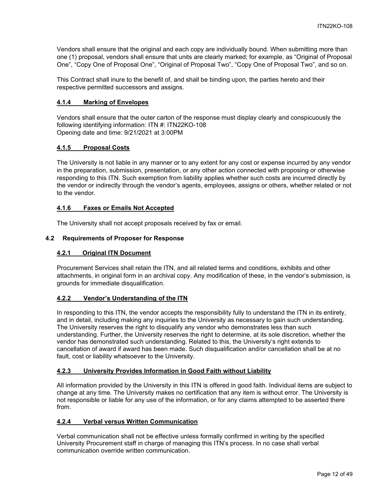Vendors shall ensure that the original and each copy are individually bound. When submitting more than one (1) proposal, vendors shall ensure that units are clearly marked; for example, as "Original of Proposal One", "Copy One of Proposal One", "Original of Proposal Two", "Copy One of Proposal Two", and so on.

This Contract shall inure to the benefit of, and shall be binding upon, the parties hereto and their respective permitted successors and assigns.

## <span id="page-11-0"></span>**4.1.4 Marking of Envelopes**

Vendors shall ensure that the outer carton of the response must display clearly and conspicuously the following identifying information: ITN #: ITN22KO-108 Opening date and time: 9/21/2021 at 3:00PM

## <span id="page-11-1"></span>**4.1.5 Proposal Costs**

The University is not liable in any manner or to any extent for any cost or expense incurred by any vendor in the preparation, submission, presentation, or any other action connected with proposing or otherwise responding to this ITN. Such exemption from liability applies whether such costs are incurred directly by the vendor or indirectly through the vendor's agents, employees, assigns or others, whether related or not to the vendor.

## <span id="page-11-2"></span>**4.1.6 Faxes or Emails Not Accepted**

The University shall not accept proposals received by fax or email.

## <span id="page-11-4"></span><span id="page-11-3"></span>**4.2 Requirements of Proposer for Response**

## **4.2.1 Original ITN Document**

Procurement Services shall retain the ITN, and all related terms and conditions, exhibits and other attachments, in original form in an archival copy. Any modification of these, in the vendor's submission, is grounds for immediate disqualification.

## <span id="page-11-5"></span>**4.2.2 Vendor's Understanding of the ITN**

In responding to this ITN, the vendor accepts the responsibility fully to understand the ITN in its entirety, and in detail, including making any inquiries to the University as necessary to gain such understanding. The University reserves the right to disqualify any vendor who demonstrates less than such understanding. Further, the University reserves the right to determine, at its sole discretion, whether the vendor has demonstrated such understanding. Related to this, the University's right extends to cancellation of award if award has been made. Such disqualification and/or cancellation shall be at no fault, cost or liability whatsoever to the University.

## <span id="page-11-6"></span>**4.2.3 University Provides Information in Good Faith without Liability**

All information provided by the University in this ITN is offered in good faith. Individual items are subject to change at any time. The University makes no certification that any item is without error. The University is not responsible or liable for any use of the information, or for any claims attempted to be asserted there from.

## <span id="page-11-7"></span>**4.2.4 Verbal versus Written Communication**

Verbal communication shall not be effective unless formally confirmed in writing by the specified University Procurement staff in charge of managing this ITN's process. In no case shall verbal communication override written communication.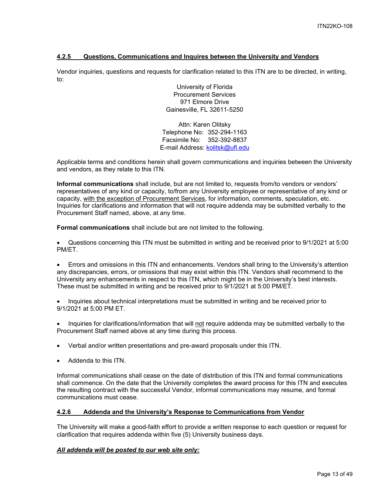## <span id="page-12-0"></span>**4.2.5 Questions, Communications and Inquires between the University and Vendors**

Vendor inquiries, questions and requests for clarification related to this ITN are to be directed, in writing, to:

> University of Florida Procurement Services 971 Elmore Drive Gainesville, FL 32611-5250

Attn: Karen Olitsky Telephone No: 352-294-1163 Facsimile No: 352-392-8837 E-mail Address: [kolitsk@ufl.edu](mailto:kolitsk@ufl.edu)

Applicable terms and conditions herein shall govern communications and inquiries between the University and vendors, as they relate to this ITN.

**Informal communications** shall include, but are not limited to, requests from/to vendors or vendors' representatives of any kind or capacity, to/from any University employee or representative of any kind or capacity, with the exception of Procurement Services, for information, comments, speculation, etc. Inquiries for clarifications and information that will not require addenda may be submitted verbally to the Procurement Staff named, above, at any time.

**Formal communications** shall include but are not limited to the following.

• Questions concerning this ITN must be submitted in writing and be received prior to 9/1/2021 at 5:00 PM/ET.

• Errors and omissions in this ITN and enhancements. Vendors shall bring to the University's attention any discrepancies, errors, or omissions that may exist within this ITN. Vendors shall recommend to the University any enhancements in respect to this ITN, which might be in the University's best interests. These must be submitted in writing and be received prior to 9/1/2021 at 5:00 PM/ET.

• Inquiries about technical interpretations must be submitted in writing and be received prior to 9/1/2021 at 5:00 PM ET.

• Inquiries for clarifications/information that will not require addenda may be submitted verbally to the Procurement Staff named above at any time during this process.

- Verbal and/or written presentations and pre-award proposals under this ITN.
- Addenda to this ITN.

Informal communications shall cease on the date of distribution of this ITN and formal communications shall commence. On the date that the University completes the award process for this ITN and executes the resulting contract with the successful Vendor, informal communications may resume, and formal communications must cease.

#### <span id="page-12-1"></span>**4.2.6 Addenda and the University's Response to Communications from Vendor**

The University will make a good-faith effort to provide a written response to each question or request for clarification that requires addenda within five (5) University business days.

#### *All addenda will be posted to our web site only:*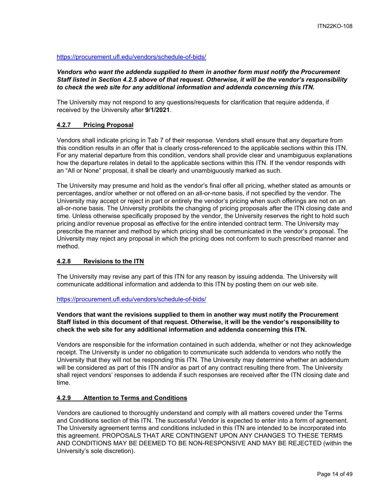<https://procurement.ufl.edu/vendors/schedule-of-bids/>

*Vendors who want the addenda supplied to them in another form must notify the Procurement Staff listed in Section 4.2.5 above of that request. Otherwise, it will be the vendor's responsibility to check the web site for any additional information and addenda concerning this ITN.*

The University may not respond to any questions/requests for clarification that require addenda, if received by the University after **9/1/2021**.

## <span id="page-13-0"></span>**4.2.7 Pricing Proposal**

Vendors shall indicate pricing in Tab 7 of their response. Vendors shall ensure that any departure from this condition results in an offer that is clearly cross-referenced to the applicable sections within this ITN. For any material departure from this condition, vendors shall provide clear and unambiguous explanations how the departure relates in detail to the applicable sections within this ITN. If the vendor responds with an "All or None" proposal, it shall be clearly and unambiguously marked as such.

The University may presume and hold as the vendor's final offer all pricing, whether stated as amounts or percentages, and/or whether or not offered on an all-or-none basis, if not specified by the vendor. The University may accept or reject in part or entirely the vendor's pricing when such offerings are not on an all-or-none basis. The University prohibits the changing of pricing proposals after the ITN closing date and time. Unless otherwise specifically proposed by the vendor, the University reserves the right to hold such pricing and/or revenue proposal as effective for the entire intended contract term. The University may prescribe the manner and method by which pricing shall be communicated in the vendor's proposal. The University may reject any proposal in which the pricing does not conform to such prescribed manner and method.

#### <span id="page-13-1"></span>**4.2.8 Revisions to the ITN**

The University may revise any part of this ITN for any reason by issuing addenda. The University will communicate additional information and addenda to this ITN by posting them on our web site.

#### <https://procurement.ufl.edu/vendors/schedule-of-bids/>

## **Vendors that want the revisions supplied to them in another way must notify the Procurement Staff listed in this document of that request. Otherwise, it will be the vendor's responsibility to check the web site for any additional information and addenda concerning this ITN.**

Vendors are responsible for the information contained in such addenda, whether or not they acknowledge receipt. The University is under no obligation to communicate such addenda to vendors who notify the University that they will not be responding this ITN. The University may determine whether an addendum will be considered as part of this ITN and/or as part of any contract resulting there from. The University shall reject vendors' responses to addenda if such responses are received after the ITN closing date and time.

#### <span id="page-13-2"></span>**4.2.9 Attention to Terms and Conditions**

Vendors are cautioned to thoroughly understand and comply with all matters covered under the Terms and Conditions section of this ITN. The successful Vendor is expected to enter into a form of agreement. The University agreement terms and conditions included in this ITN are intended to be incorporated into this agreement. PROPOSALS THAT ARE CONTINGENT UPON ANY CHANGES TO THESE TERMS AND CONDITIONS MAY BE DEEMED TO BE NON-RESPONSIVE AND MAY BE REJECTED (within the University's sole discretion).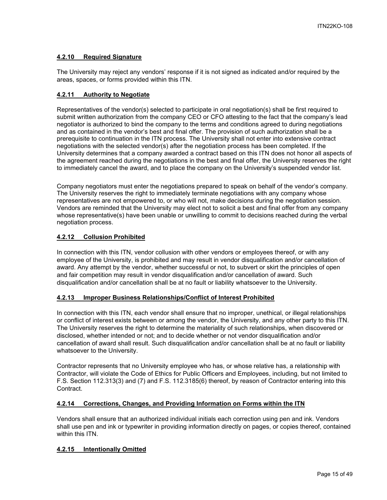## <span id="page-14-0"></span>**4.2.10 Required Signature**

The University may reject any vendors' response if it is not signed as indicated and/or required by the areas, spaces, or forms provided within this ITN.

## <span id="page-14-1"></span>**4.2.11 Authority to Negotiate**

Representatives of the vendor(s) selected to participate in oral negotiation(s) shall be first required to submit written authorization from the company CEO or CFO attesting to the fact that the company's lead negotiator is authorized to bind the company to the terms and conditions agreed to during negotiations and as contained in the vendor's best and final offer. The provision of such authorization shall be a prerequisite to continuation in the ITN process. The University shall not enter into extensive contract negotiations with the selected vendor(s) after the negotiation process has been completed. If the University determines that a company awarded a contract based on this ITN does not honor all aspects of the agreement reached during the negotiations in the best and final offer, the University reserves the right to immediately cancel the award, and to place the company on the University's suspended vendor list.

Company negotiators must enter the negotiations prepared to speak on behalf of the vendor's company. The University reserves the right to immediately terminate negotiations with any company whose representatives are not empowered to, or who will not, make decisions during the negotiation session. Vendors are reminded that the University may elect not to solicit a best and final offer from any company whose representative(s) have been unable or unwilling to commit to decisions reached during the verbal negotiation process.

## <span id="page-14-2"></span>**4.2.12 Collusion Prohibited**

In connection with this ITN, vendor collusion with other vendors or employees thereof, or with any employee of the University, is prohibited and may result in vendor disqualification and/or cancellation of award. Any attempt by the vendor, whether successful or not, to subvert or skirt the principles of open and fair competition may result in vendor disqualification and/or cancellation of award. Such disqualification and/or cancellation shall be at no fault or liability whatsoever to the University.

## <span id="page-14-3"></span>**4.2.13 Improper Business Relationships/Conflict of Interest Prohibited**

In connection with this ITN, each vendor shall ensure that no improper, unethical, or illegal relationships or conflict of interest exists between or among the vendor, the University, and any other party to this ITN. The University reserves the right to determine the materiality of such relationships, when discovered or disclosed, whether intended or not; and to decide whether or not vendor disqualification and/or cancellation of award shall result. Such disqualification and/or cancellation shall be at no fault or liability whatsoever to the University.

Contractor represents that no University employee who has, or whose relative has, a relationship with Contractor, will violate the Code of Ethics for Public Officers and Employees, including, but not limited to F.S. Section 112.313(3) and (7) and F.S. 112.3185(6) thereof, by reason of Contractor entering into this Contract.

## <span id="page-14-4"></span>**4.2.14 Corrections, Changes, and Providing Information on Forms within the ITN**

Vendors shall ensure that an authorized individual initials each correction using pen and ink. Vendors shall use pen and ink or typewriter in providing information directly on pages, or copies thereof, contained within this ITN.

## <span id="page-14-5"></span>**4.2.15 Intentionally Omitted**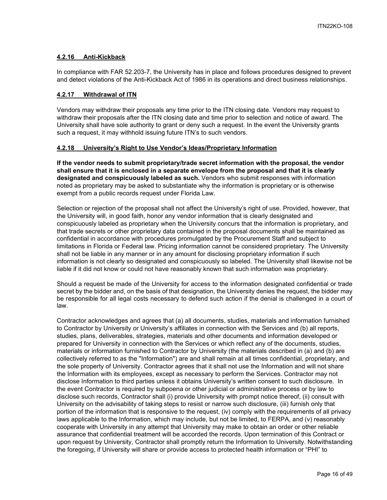## <span id="page-15-0"></span>**4.2.16 Anti-Kickback**

In compliance with FAR 52.203-7, the University has in place and follows procedures designed to prevent and detect violations of the Anti-Kickback Act of 1986 in its operations and direct business relationships.

### <span id="page-15-1"></span>**4.2.17 Withdrawal of ITN**

Vendors may withdraw their proposals any time prior to the ITN closing date. Vendors may request to withdraw their proposals after the ITN closing date and time prior to selection and notice of award. The University shall have sole authority to grant or deny such a request. In the event the University grants such a request, it may withhold issuing future ITN's to such vendors.

## <span id="page-15-2"></span>**4.2.18 University's Right to Use Vendor's Ideas/Proprietary Information**

**If the vendor needs to submit proprietary/trade secret information with the proposal, the vendor shall ensure that it is enclosed in a separate envelope from the proposal and that it is clearly designated and conspicuously labeled as such.** Vendors who submit responses with information noted as proprietary may be asked to substantiate why the information is proprietary or is otherwise exempt from a public records request under Florida Law.

Selection or rejection of the proposal shall not affect the University's right of use. Provided, however, that the University will, in good faith, honor any vendor information that is clearly designated and conspicuously labeled as proprietary when the University concurs that the information is proprietary, and that trade secrets or other proprietary data contained in the proposal documents shall be maintained as confidential in accordance with procedures promulgated by the Procurement Staff and subject to limitations in Florida or Federal law. Pricing information cannot be considered proprietary. The University shall not be liable in any manner or in any amount for disclosing proprietary information if such information is not clearly so designated and conspicuously so labeled. The University shall likewise not be liable if it did not know or could not have reasonably known that such information was proprietary.

Should a request be made of the University for access to the information designated confidential or trade secret by the bidder and, on the basis of that designation, the University denies the request, the bidder may be responsible for all legal costs necessary to defend such action if the denial is challenged in a court of law.

Contractor acknowledges and agrees that (a) all documents, studies, materials and information furnished to Contractor by University or University's affiliates in connection with the Services and (b) all reports, studies, plans, deliverables, strategies, materials and other documents and information developed or prepared for University in connection with the Services or which reflect any of the documents, studies, materials or information furnished to Contractor by University (the materials described in (a) and (b) are collectively referred to as the "Information") are and shall remain at all times confidential, proprietary, and the sole property of University. Contractor agrees that it shall not use the Information and will not share the Information with its employees, except as necessary to perform the Services. Contractor may not disclose Information to third parties unless it obtains University's written consent to such disclosure. In the event Contractor is required by subpoena or other judicial or administrative process or by law to disclose such records, Contractor shall (i) provide University with prompt notice thereof, (ii) consult with University on the advisability of taking steps to resist or narrow such disclosure, (iii) furnish only that portion of the information that is responsive to the request, (iv) comply with the requirements of all privacy laws applicable to the Information, which may include, but not be limited, to FERPA, and (v) reasonably cooperate with University in any attempt that University may make to obtain an order or other reliable assurance that confidential treatment will be accorded the records. Upon termination of this Contract or upon request by University, Contractor shall promptly return the Information to University. Notwithstanding the foregoing, if University will share or provide access to protected health information or "PHI" to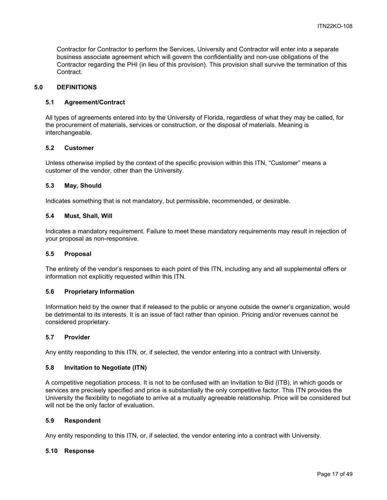Contractor for Contractor to perform the Services, University and Contractor will enter into a separate business associate agreement which will govern the confidentiality and non-use obligations of the Contractor regarding the PHI (in lieu of this provision). This provision shall survive the termination of this Contract.

#### <span id="page-16-0"></span>**5.0 DEFINITIONS**

#### <span id="page-16-1"></span>**5.1 Agreement/Contract**

All types of agreements entered into by the University of Florida, regardless of what they may be called, for the procurement of materials, services or construction, or the disposal of materials. Meaning is interchangeable.

#### <span id="page-16-2"></span>**5.2 Customer**

Unless otherwise implied by the context of the specific provision within this ITN, "Customer" means a customer of the vendor, other than the University.

#### <span id="page-16-3"></span>**5.3 May, Should**

Indicates something that is not mandatory, but permissible, recommended, or desirable.

#### <span id="page-16-4"></span>**5.4 Must, Shall, Will**

Indicates a mandatory requirement. Failure to meet these mandatory requirements may result in rejection of your proposal as non-responsive.

#### <span id="page-16-5"></span>**5.5 Proposal**

The entirety of the vendor's responses to each point of this ITN, including any and all supplemental offers or information not explicitly requested within this ITN.

#### <span id="page-16-6"></span>**5.6 Proprietary Information**

Information held by the owner that if released to the public or anyone outside the owner's organization, would be detrimental to its interests. It is an issue of fact rather than opinion. Pricing and/or revenues cannot be considered proprietary.

#### <span id="page-16-7"></span>**5.7 Provider**

Any entity responding to this ITN, or, if selected, the vendor entering into a contract with University.

#### <span id="page-16-8"></span>**5.8 Invitation to Negotiate (ITN)**

A competitive negotiation process. It is not to be confused with an Invitation to Bid (ITB), in which goods or services are precisely specified and price is substantially the only competitive factor. This ITN provides the University the flexibility to negotiate to arrive at a mutually agreeable relationship. Price will be considered but will not be the only factor of evaluation.

#### <span id="page-16-9"></span>**5.9 Respondent**

Any entity responding to this ITN, or, if selected, the vendor entering into a contract with University.

#### <span id="page-16-10"></span>**5.10 Response**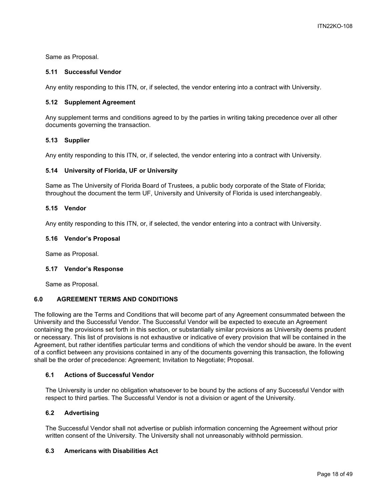Same as Proposal.

## <span id="page-17-0"></span>**5.11 Successful Vendor**

Any entity responding to this ITN, or, if selected, the vendor entering into a contract with University.

## <span id="page-17-1"></span>**5.12 Supplement Agreement**

Any supplement terms and conditions agreed to by the parties in writing taking precedence over all other documents governing the transaction.

## <span id="page-17-2"></span>**5.13 Supplier**

Any entity responding to this ITN, or, if selected, the vendor entering into a contract with University.

## <span id="page-17-3"></span>**5.14 University of Florida, UF or University**

Same as The University of Florida Board of Trustees, a public body corporate of the State of Florida; throughout the document the term UF, University and University of Florida is used interchangeably.

#### <span id="page-17-4"></span>**5.15 Vendor**

Any entity responding to this ITN, or, if selected, the vendor entering into a contract with University.

#### <span id="page-17-5"></span>**5.16 Vendor's Proposal**

Same as Proposal.

#### <span id="page-17-6"></span>**5.17 Vendor's Response**

Same as Proposal.

## <span id="page-17-7"></span>**6.0 AGREEMENT TERMS AND CONDITIONS**

The following are the Terms and Conditions that will become part of any Agreement consummated between the University and the Successful Vendor. The Successful Vendor will be expected to execute an Agreement containing the provisions set forth in this section, or substantially similar provisions as University deems prudent or necessary. This list of provisions is not exhaustive or indicative of every provision that will be contained in the Agreement, but rather identifies particular terms and conditions of which the vendor should be aware. In the event of a conflict between any provisions contained in any of the documents governing this transaction, the following shall be the order of precedence: Agreement; Invitation to Negotiate; Proposal.

#### <span id="page-17-8"></span>**6.1 Actions of Successful Vendor**

The University is under no obligation whatsoever to be bound by the actions of any Successful Vendor with respect to third parties. The Successful Vendor is not a division or agent of the University.

## <span id="page-17-9"></span>**6.2 Advertising**

The Successful Vendor shall not advertise or publish information concerning the Agreement without prior written consent of the University. The University shall not unreasonably withhold permission.

## <span id="page-17-10"></span>**6.3 Americans with Disabilities Act**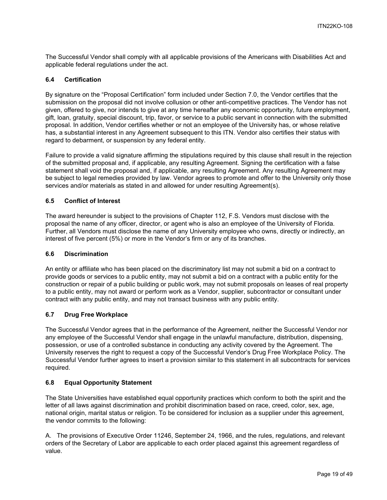The Successful Vendor shall comply with all applicable provisions of the Americans with Disabilities Act and applicable federal regulations under the act.

### <span id="page-18-0"></span>**6.4 Certification**

By signature on the "Proposal Certification" form included under Section 7.0, the Vendor certifies that the submission on the proposal did not involve collusion or other anti-competitive practices. The Vendor has not given, offered to give, nor intends to give at any time hereafter any economic opportunity, future employment, gift, loan, gratuity, special discount, trip, favor, or service to a public servant in connection with the submitted proposal. In addition, Vendor certifies whether or not an employee of the University has, or whose relative has, a substantial interest in any Agreement subsequent to this ITN. Vendor also certifies their status with regard to debarment, or suspension by any federal entity.

Failure to provide a valid signature affirming the stipulations required by this clause shall result in the rejection of the submitted proposal and, if applicable, any resulting Agreement. Signing the certification with a false statement shall void the proposal and, if applicable, any resulting Agreement. Any resulting Agreement may be subject to legal remedies provided by law. Vendor agrees to promote and offer to the University only those services and/or materials as stated in and allowed for under resulting Agreement(s).

#### <span id="page-18-1"></span>**6.5 Conflict of Interest**

The award hereunder is subject to the provisions of Chapter 112, F.S. Vendors must disclose with the proposal the name of any officer, director, or agent who is also an employee of the University of Florida. Further, all Vendors must disclose the name of any University employee who owns, directly or indirectly, an interest of five percent (5%) or more in the Vendor's firm or any of its branches.

#### <span id="page-18-2"></span>**6.6 Discrimination**

An entity or affiliate who has been placed on the discriminatory list may not submit a bid on a contract to provide goods or services to a public entity, may not submit a bid on a contract with a public entity for the construction or repair of a public building or public work, may not submit proposals on leases of real property to a public entity, may not award or perform work as a Vendor, supplier, subcontractor or consultant under contract with any public entity, and may not transact business with any public entity.

## <span id="page-18-3"></span>**6.7 Drug Free Workplace**

The Successful Vendor agrees that in the performance of the Agreement, neither the Successful Vendor nor any employee of the Successful Vendor shall engage in the unlawful manufacture, distribution, dispensing, possession, or use of a controlled substance in conducting any activity covered by the Agreement. The University reserves the right to request a copy of the Successful Vendor's Drug Free Workplace Policy. The Successful Vendor further agrees to insert a provision similar to this statement in all subcontracts for services required.

#### <span id="page-18-4"></span>**6.8 Equal Opportunity Statement**

The State Universities have established equal opportunity practices which conform to both the spirit and the letter of all laws against discrimination and prohibit discrimination based on race, creed, color, sex, age, national origin, marital status or religion. To be considered for inclusion as a supplier under this agreement, the vendor commits to the following:

A. The provisions of Executive Order 11246, September 24, 1966, and the rules, regulations, and relevant orders of the Secretary of Labor are applicable to each order placed against this agreement regardless of value.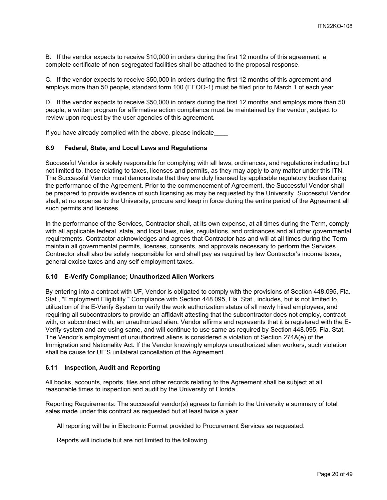B. If the vendor expects to receive \$10,000 in orders during the first 12 months of this agreement, a complete certificate of non-segregated facilities shall be attached to the proposal response.

C. If the vendor expects to receive \$50,000 in orders during the first 12 months of this agreement and employs more than 50 people, standard form 100 (EEOO-1) must be filed prior to March 1 of each year.

D. If the vendor expects to receive \$50,000 in orders during the first 12 months and employs more than 50 people, a written program for affirmative action compliance must be maintained by the vendor, subject to review upon request by the user agencies of this agreement.

If you have already complied with the above, please indicate

#### <span id="page-19-0"></span>**6.9 Federal, State, and Local Laws and Regulations**

Successful Vendor is solely responsible for complying with all laws, ordinances, and regulations including but not limited to, those relating to taxes, licenses and permits, as they may apply to any matter under this ITN. The Successful Vendor must demonstrate that they are duly licensed by applicable regulatory bodies during the performance of the Agreement. Prior to the commencement of Agreement, the Successful Vendor shall be prepared to provide evidence of such licensing as may be requested by the University. Successful Vendor shall, at no expense to the University, procure and keep in force during the entire period of the Agreement all such permits and licenses.

In the performance of the Services, Contractor shall, at its own expense, at all times during the Term, comply with all applicable federal, state, and local laws, rules, regulations, and ordinances and all other governmental requirements. Contractor acknowledges and agrees that Contractor has and will at all times during the Term maintain all governmental permits, licenses, consents, and approvals necessary to perform the Services. Contractor shall also be solely responsible for and shall pay as required by law Contractor's income taxes, general excise taxes and any self-employment taxes.

#### <span id="page-19-1"></span>**6.10 E-Verify Compliance; Unauthorized Alien Workers**

By entering into a contract with UF, Vendor is obligated to comply with the provisions of Section 448.095, Fla. Stat., "Employment Eligibility." Compliance with Section 448.095, Fla. Stat., includes, but is not limited to, utilization of the E-Verify System to verify the work authorization status of all newly hired employees, and requiring all subcontractors to provide an affidavit attesting that the subcontractor does not employ, contract with, or subcontract with, an unauthorized alien. Vendor affirms and represents that it is registered with the E-Verify system and are using same, and will continue to use same as required by Section 448.095, Fla. Stat. The Vendor's employment of unauthorized aliens is considered a violation of Section 274A(e) of the Immigration and Nationality Act. If the Vendor knowingly employs unauthorized alien workers, such violation shall be cause for UF'S unilateral cancellation of the Agreement.

#### <span id="page-19-2"></span>**6.11 Inspection, Audit and Reporting**

All books, accounts, reports, files and other records relating to the Agreement shall be subject at all reasonable times to inspection and audit by the University of Florida.

Reporting Requirements: The successful vendor(s) agrees to furnish to the University a summary of total sales made under this contract as requested but at least twice a year.

All reporting will be in Electronic Format provided to Procurement Services as requested.

Reports will include but are not limited to the following.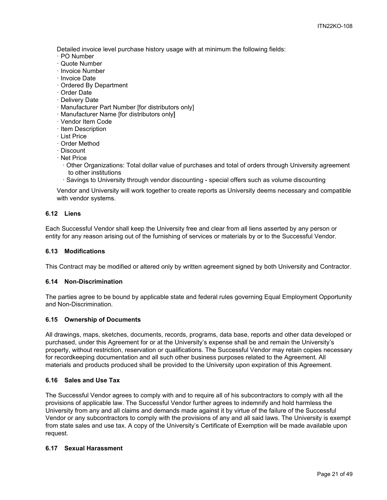Detailed invoice level purchase history usage with at minimum the following fields:

- · PO Number
- · Quote Number
- · Invoice Number
- · Invoice Date
- · Ordered By Department
- · Order Date
- · Delivery Date
- · Manufacturer Part Number [for distributors only]
- · Manufacturer Name [for distributors only]
- · Vendor Item Code
- · Item Description
- · List Price
- · Order Method
- · Discount
- · Net Price
	- · Other Organizations: Total dollar value of purchases and total of orders through University agreement to other institutions
	- · Savings to University through vendor discounting special offers such as volume discounting

Vendor and University will work together to create reports as University deems necessary and compatible with vendor systems.

## <span id="page-20-0"></span>**6.12 Liens**

Each Successful Vendor shall keep the University free and clear from all liens asserted by any person or entity for any reason arising out of the furnishing of services or materials by or to the Successful Vendor.

#### <span id="page-20-1"></span>**6.13 Modifications**

This Contract may be modified or altered only by written agreement signed by both University and Contractor.

#### <span id="page-20-2"></span>**6.14 Non-Discrimination**

The parties agree to be bound by applicable state and federal rules governing Equal Employment Opportunity and Non-Discrimination.

#### <span id="page-20-3"></span>**6.15 Ownership of Documents**

All drawings, maps, sketches, documents, records, programs, data base, reports and other data developed or purchased, under this Agreement for or at the University's expense shall be and remain the University's property, without restriction, reservation or qualifications. The Successful Vendor may retain copies necessary for recordkeeping documentation and all such other business purposes related to the Agreement. All materials and products produced shall be provided to the University upon expiration of this Agreement.

#### <span id="page-20-4"></span>**6.16 Sales and Use Tax**

The Successful Vendor agrees to comply with and to require all of his subcontractors to comply with all the provisions of applicable law. The Successful Vendor further agrees to indemnify and hold harmless the University from any and all claims and demands made against it by virtue of the failure of the Successful Vendor or any subcontractors to comply with the provisions of any and all said laws. The University is exempt from state sales and use tax. A copy of the University's Certificate of Exemption will be made available upon request.

#### <span id="page-20-5"></span>**6.17 Sexual Harassment**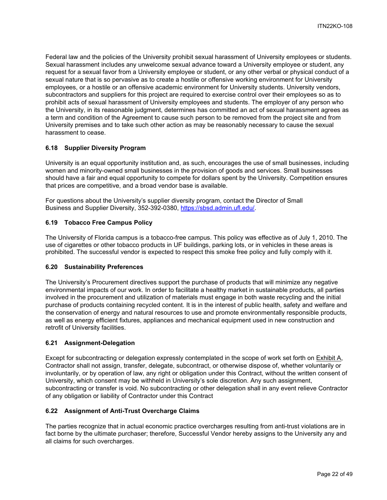Federal law and the policies of the University prohibit sexual harassment of University employees or students. Sexual harassment includes any unwelcome sexual advance toward a University employee or student, any request for a sexual favor from a University employee or student, or any other verbal or physical conduct of a sexual nature that is so pervasive as to create a hostile or offensive working environment for University employees, or a hostile or an offensive academic environment for University students. University vendors, subcontractors and suppliers for this project are required to exercise control over their employees so as to prohibit acts of sexual harassment of University employees and students. The employer of any person who the University, in its reasonable judgment, determines has committed an act of sexual harassment agrees as a term and condition of the Agreement to cause such person to be removed from the project site and from University premises and to take such other action as may be reasonably necessary to cause the sexual harassment to cease.

## <span id="page-21-0"></span>**6.18 Supplier Diversity Program**

University is an equal opportunity institution and, as such, encourages the use of small businesses, including women and minority-owned small businesses in the provision of goods and services. Small businesses should have a fair and equal opportunity to compete for dollars spent by the University. Competition ensures that prices are competitive, and a broad vendor base is available.

For questions about the University's supplier diversity program, contact the Director of Small Business and Supplier Diversity, 352-392-0380, [https://sbsd.admin.ufl.edu/.](https://sbsd.admin.ufl.edu/)

## <span id="page-21-1"></span>**6.19 Tobacco Free Campus Policy**

The University of Florida campus is a tobacco-free campus. This policy was effective as of July 1, 2010. The use of cigarettes or other tobacco products in UF buildings, parking lots, or in vehicles in these areas is prohibited. The successful vendor is expected to respect this smoke free policy and fully comply with it.

#### <span id="page-21-2"></span>**6.20 Sustainability Preferences**

The University's Procurement directives support the purchase of products that will minimize any negative environmental impacts of our work. In order to facilitate a healthy market in sustainable products, all parties involved in the procurement and utilization of materials must engage in both waste recycling and the initial purchase of products containing recycled content. It is in the interest of public health, safety and welfare and the conservation of energy and natural resources to use and promote environmentally responsible products, as well as energy efficient fixtures, appliances and mechanical equipment used in new construction and retrofit of University facilities.

#### <span id="page-21-3"></span>**6.21 Assignment-Delegation**

Except for subcontracting or delegation expressly contemplated in the scope of work set forth on Exhibit A, Contractor shall not assign, transfer, delegate, subcontract, or otherwise dispose of, whether voluntarily or involuntarily, or by operation of law, any right or obligation under this Contract, without the written consent of University, which consent may be withheld in University's sole discretion. Any such assignment, subcontracting or transfer is void. No subcontracting or other delegation shall in any event relieve Contractor of any obligation or liability of Contractor under this Contract

#### <span id="page-21-4"></span>**6.22 Assignment of Anti-Trust Overcharge Claims**

The parties recognize that in actual economic practice overcharges resulting from anti-trust violations are in fact borne by the ultimate purchaser; therefore, Successful Vendor hereby assigns to the University any and all claims for such overcharges.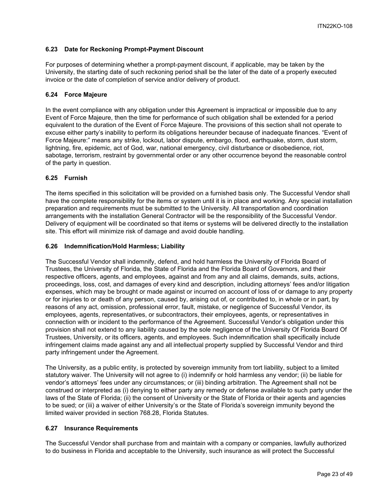## <span id="page-22-0"></span>**6.23 Date for Reckoning Prompt-Payment Discount**

For purposes of determining whether a prompt-payment discount, if applicable, may be taken by the University, the starting date of such reckoning period shall be the later of the date of a properly executed invoice or the date of completion of service and/or delivery of product.

## <span id="page-22-1"></span>**6.24 Force Majeure**

In the event compliance with any obligation under this Agreement is impractical or impossible due to any Event of Force Majeure, then the time for performance of such obligation shall be extended for a period equivalent to the duration of the Event of Force Majeure. The provisions of this section shall not operate to excuse either party's inability to perform its obligations hereunder because of inadequate finances. "Event of Force Majeure:" means any strike, lockout, labor dispute, embargo, flood, earthquake, storm, dust storm, lightning, fire, epidemic, act of God, war, national emergency, civil disturbance or disobedience, riot, sabotage, terrorism, restraint by governmental order or any other occurrence beyond the reasonable control of the party in question.

## <span id="page-22-2"></span>**6.25 Furnish**

The items specified in this solicitation will be provided on a furnished basis only. The Successful Vendor shall have the complete responsibility for the items or system until it is in place and working. Any special installation preparation and requirements must be submitted to the University. All transportation and coordination arrangements with the installation General Contractor will be the responsibility of the Successful Vendor. Delivery of equipment will be coordinated so that items or systems will be delivered directly to the installation site. This effort will minimize risk of damage and avoid double handling.

#### <span id="page-22-3"></span>**6.26 Indemnification/Hold Harmless; Liability**

The Successful Vendor shall indemnify, defend, and hold harmless the University of Florida Board of Trustees, the University of Florida, the State of Florida and the Florida Board of Governors, and their respective officers, agents, and employees, against and from any and all claims, demands, suits, actions, proceedings, loss, cost, and damages of every kind and description, including attorneys' fees and/or litigation expenses, which may be brought or made against or incurred on account of loss of or damage to any property or for injuries to or death of any person, caused by, arising out of, or contributed to, in whole or in part, by reasons of any act, omission, professional error, fault, mistake, or negligence of Successful Vendor, its employees, agents, representatives, or subcontractors, their employees, agents, or representatives in connection with or incident to the performance of the Agreement. Successful Vendor's obligation under this provision shall not extend to any liability caused by the sole negligence of the University Of Florida Board Of Trustees, University, or its officers, agents, and employees. Such indemnification shall specifically include infringement claims made against any and all intellectual property supplied by Successful Vendor and third party infringement under the Agreement.

The University, as a public entity, is protected by sovereign immunity from tort liability, subject to a limited statutory waiver. The University will not agree to (i) indemnify or hold harmless any vendor; (ii) be liable for vendor's attorneys' fees under any circumstances; or (iii) binding arbitration. The Agreement shall not be construed or interpreted as (i) denying to either party any remedy or defense available to such party under the laws of the State of Florida; (ii) the consent of University or the State of Florida or their agents and agencies to be sued; or (iii) a waiver of either University's or the State of Florida's sovereign immunity beyond the limited waiver provided in section 768.28, Florida Statutes.

#### <span id="page-22-4"></span>**6.27 Insurance Requirements**

The Successful Vendor shall purchase from and maintain with a company or companies, lawfully authorized to do business in Florida and acceptable to the University, such insurance as will protect the Successful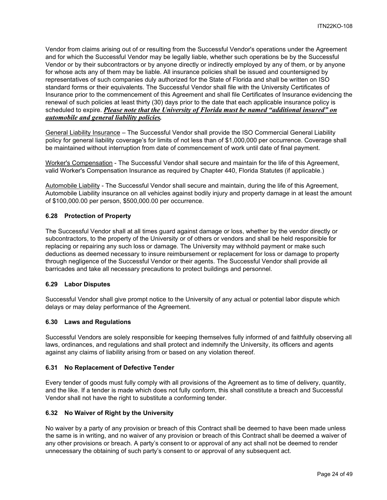Vendor from claims arising out of or resulting from the Successful Vendor's operations under the Agreement and for which the Successful Vendor may be legally liable, whether such operations be by the Successful Vendor or by their subcontractors or by anyone directly or indirectly employed by any of them, or by anyone for whose acts any of them may be liable. All insurance policies shall be issued and countersigned by representatives of such companies duly authorized for the State of Florida and shall be written on ISO standard forms or their equivalents. The Successful Vendor shall file with the University Certificates of Insurance prior to the commencement of this Agreement and shall file Certificates of Insurance evidencing the renewal of such policies at least thirty (30) days prior to the date that each applicable insurance policy is scheduled to expire. *Please note that the University of Florida must be named "additional insured" on automobile and general liability policies.*

General Liability Insurance – The Successful Vendor shall provide the ISO Commercial General Liability policy for general liability coverage's for limits of not less than of \$1,000,000 per occurrence. Coverage shall be maintained without interruption from date of commencement of work until date of final payment.

Worker's Compensation - The Successful Vendor shall secure and maintain for the life of this Agreement, valid Worker's Compensation Insurance as required by Chapter 440, Florida Statutes (if applicable.)

Automobile Liability - The Successful Vendor shall secure and maintain, during the life of this Agreement, Automobile Liability insurance on all vehicles against bodily injury and property damage in at least the amount of \$100,000.00 per person, \$500,000.00 per occurrence.

## <span id="page-23-0"></span>**6.28 Protection of Property**

The Successful Vendor shall at all times guard against damage or loss, whether by the vendor directly or subcontractors, to the property of the University or of others or vendors and shall be held responsible for replacing or repairing any such loss or damage. The University may withhold payment or make such deductions as deemed necessary to insure reimbursement or replacement for loss or damage to property through negligence of the Successful Vendor or their agents. The Successful Vendor shall provide all barricades and take all necessary precautions to protect buildings and personnel.

#### <span id="page-23-1"></span>**6.29 Labor Disputes**

Successful Vendor shall give prompt notice to the University of any actual or potential labor dispute which delays or may delay performance of the Agreement.

#### <span id="page-23-2"></span>**6.30 Laws and Regulations**

Successful Vendors are solely responsible for keeping themselves fully informed of and faithfully observing all laws, ordinances, and regulations and shall protect and indemnify the University, its officers and agents against any claims of liability arising from or based on any violation thereof.

#### <span id="page-23-3"></span>**6.31 No Replacement of Defective Tender**

Every tender of goods must fully comply with all provisions of the Agreement as to time of delivery, quantity, and the like. If a tender is made which does not fully conform, this shall constitute a breach and Successful Vendor shall not have the right to substitute a conforming tender.

#### <span id="page-23-4"></span>**6.32 No Waiver of Right by the University**

No waiver by a party of any provision or breach of this Contract shall be deemed to have been made unless the same is in writing, and no waiver of any provision or breach of this Contract shall be deemed a waiver of any other provisions or breach. A party's consent to or approval of any act shall not be deemed to render unnecessary the obtaining of such party's consent to or approval of any subsequent act.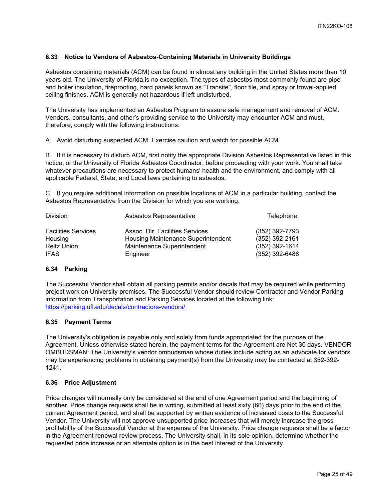## <span id="page-24-0"></span>**6.33 Notice to Vendors of Asbestos-Containing Materials in University Buildings**

Asbestos containing materials (ACM) can be found in almost any building in the United States more than 10 years old. The University of Florida is no exception. The types of asbestos most commonly found are pipe and boiler insulation, fireproofing, hard panels known as "Transite", floor tile, and spray or trowel-applied ceiling finishes. ACM is generally not hazardous if left undisturbed.

The University has implemented an Asbestos Program to assure safe management and removal of ACM. Vendors, consultants, and other's providing service to the University may encounter ACM and must, therefore, comply with the following instructions:

A. Avoid disturbing suspected ACM. Exercise caution and watch for possible ACM.

B. If it is necessary to disturb ACM, first notify the appropriate Division Asbestos Representative listed in this notice, or the University of Florida Asbestos Coordinator, before proceeding with your work. You shall take whatever precautions are necessary to protect humans' health and the environment, and comply with all applicable Federal, State, and Local laws pertaining to asbestos.

C. If you require additional information on possible locations of ACM in a particular building, contact the Asbestos Representative from the Division for which you are working.

| Division                   | <b>Asbestos Representative</b>     | <b>Telephone</b> |
|----------------------------|------------------------------------|------------------|
| <b>Facilities Services</b> | Assoc. Dir. Facilities Services    | (352) 392-7793   |
| Housing                    | Housing Maintenance Superintendent | $(352)$ 392-2161 |
| <b>Reitz Union</b>         | Maintenance Superintendent         | $(352)$ 392-1614 |
| <b>IFAS</b>                | Engineer                           | $(352)$ 392-6488 |

#### <span id="page-24-1"></span>**6.34 Parking**

The Successful Vendor shall obtain all parking permits and/or decals that may be required while performing project work on University premises. The Successful Vendor should review Contractor and Vendor Parking information from Transportation and Parking Services located at the following link: <https://parking.ufl.edu/decals/contractors-vendors/>

#### <span id="page-24-2"></span>**6.35 Payment Terms**

The University's obligation is payable only and solely from funds appropriated for the purpose of the Agreement. Unless otherwise stated herein, the payment terms for the Agreement are Net 30 days. VENDOR OMBUDSMAN: The University's vendor ombudsman whose duties include acting as an advocate for vendors may be experiencing problems in obtaining payment(s) from the University may be contacted at 352-392- 1241.

#### <span id="page-24-3"></span>**6.36 Price Adjustment**

Price changes will normally only be considered at the end of one Agreement period and the beginning of another. Price change requests shall be in writing, submitted at least sixty (60) days prior to the end of the current Agreement period, and shall be supported by written evidence of increased costs to the Successful Vendor. The University will not approve unsupported price increases that will merely increase the gross profitability of the Successful Vendor at the expense of the University. Price change requests shall be a factor in the Agreement renewal review process. The University shall, in its sole opinion, determine whether the requested price increase or an alternate option is in the best interest of the University.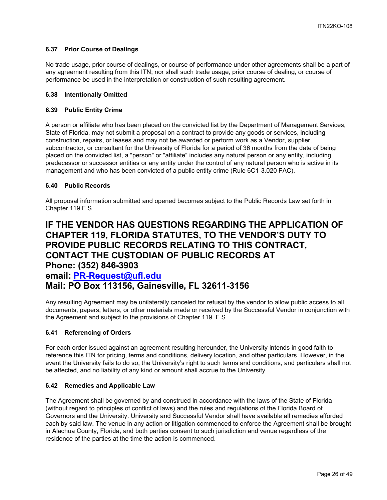## <span id="page-25-0"></span>**6.37 Prior Course of Dealings**

No trade usage, prior course of dealings, or course of performance under other agreements shall be a part of any agreement resulting from this ITN; nor shall such trade usage, prior course of dealing, or course of performance be used in the interpretation or construction of such resulting agreement.

## <span id="page-25-1"></span>**6.38 Intentionally Omitted**

## <span id="page-25-2"></span>**6.39 Public Entity Crime**

A person or affiliate who has been placed on the convicted list by the Department of Management Services, State of Florida, may not submit a proposal on a contract to provide any goods or services, including construction, repairs, or leases and may not be awarded or perform work as a Vendor, supplier, subcontractor, or consultant for the University of Florida for a period of 36 months from the date of being placed on the convicted list, a "person" or "affiliate" includes any natural person or any entity, including predecessor or successor entities or any entity under the control of any natural person who is active in its management and who has been convicted of a public entity crime (Rule 6C1-3.020 FAC).

## <span id="page-25-3"></span>**6.40 Public Records**

All proposal information submitted and opened becomes subject to the Public Records Law set forth in Chapter 119 F.S.

## **IF THE VENDOR HAS QUESTIONS REGARDING THE APPLICATION OF CHAPTER 119, FLORIDA STATUTES, TO THE VENDOR'S DUTY TO PROVIDE PUBLIC RECORDS RELATING TO THIS CONTRACT, CONTACT THE CUSTODIAN OF PUBLIC RECORDS AT Phone: (352) 846-3903 email: [PR-Request@ufl.edu](mailto:PR-Request@ufl.edu) Mail: PO Box 113156, Gainesville, FL 32611-3156**

Any resulting Agreement may be unilaterally canceled for refusal by the vendor to allow public access to all documents, papers, letters, or other materials made or received by the Successful Vendor in conjunction with the Agreement and subject to the provisions of Chapter 119. F.S.

## <span id="page-25-4"></span>**6.41 Referencing of Orders**

For each order issued against an agreement resulting hereunder, the University intends in good faith to reference this ITN for pricing, terms and conditions, delivery location, and other particulars. However, in the event the University fails to do so, the University's right to such terms and conditions, and particulars shall not be affected, and no liability of any kind or amount shall accrue to the University.

#### <span id="page-25-5"></span>**6.42 Remedies and Applicable Law**

The Agreement shall be governed by and construed in accordance with the laws of the State of Florida (without regard to principles of conflict of laws) and the rules and regulations of the Florida Board of Governors and the University. University and Successful Vendor shall have available all remedies afforded each by said law. The venue in any action or litigation commenced to enforce the Agreement shall be brought in Alachua County, Florida, and both parties consent to such jurisdiction and venue regardless of the residence of the parties at the time the action is commenced.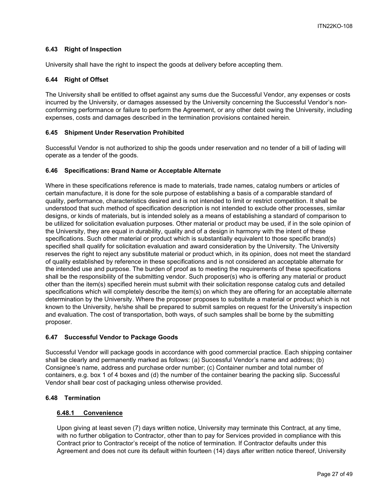## <span id="page-26-0"></span>**6.43 Right of Inspection**

University shall have the right to inspect the goods at delivery before accepting them.

## <span id="page-26-1"></span>**6.44 Right of Offset**

The University shall be entitled to offset against any sums due the Successful Vendor, any expenses or costs incurred by the University, or damages assessed by the University concerning the Successful Vendor's nonconforming performance or failure to perform the Agreement, or any other debt owing the University, including expenses, costs and damages described in the termination provisions contained herein.

## <span id="page-26-2"></span>**6.45 Shipment Under Reservation Prohibited**

Successful Vendor is not authorized to ship the goods under reservation and no tender of a bill of lading will operate as a tender of the goods.

## <span id="page-26-3"></span>**6.46 Specifications: Brand Name or Acceptable Alternate**

Where in these specifications reference is made to materials, trade names, catalog numbers or articles of certain manufacture, it is done for the sole purpose of establishing a basis of a comparable standard of quality, performance, characteristics desired and is not intended to limit or restrict competition. It shall be understood that such method of specification description is not intended to exclude other processes, similar designs, or kinds of materials, but is intended solely as a means of establishing a standard of comparison to be utilized for solicitation evaluation purposes. Other material or product may be used, if in the sole opinion of the University, they are equal in durability, quality and of a design in harmony with the intent of these specifications. Such other material or product which is substantially equivalent to those specific brand(s) specified shall qualify for solicitation evaluation and award consideration by the University. The University reserves the right to reject any substitute material or product which, in its opinion, does not meet the standard of quality established by reference in these specifications and is not considered an acceptable alternate for the intended use and purpose. The burden of proof as to meeting the requirements of these specifications shall be the responsibility of the submitting vendor. Such proposer(s) who is offering any material or product other than the item(s) specified herein must submit with their solicitation response catalog cuts and detailed specifications which will completely describe the item(s) on which they are offering for an acceptable alternate determination by the University. Where the proposer proposes to substitute a material or product which is not known to the University, he/she shall be prepared to submit samples on request for the University's inspection and evaluation. The cost of transportation, both ways, of such samples shall be borne by the submitting proposer.

## <span id="page-26-4"></span>**6.47 Successful Vendor to Package Goods**

Successful Vendor will package goods in accordance with good commercial practice. Each shipping container shall be clearly and permanently marked as follows: (a) Successful Vendor's name and address; (b) Consignee's name, address and purchase order number; (c) Container number and total number of containers, e.g. box 1 of 4 boxes and (d) the number of the container bearing the packing slip. Successful Vendor shall bear cost of packaging unless otherwise provided.

## <span id="page-26-6"></span><span id="page-26-5"></span>**6.48 Termination**

## **6.48.1 Convenience**

Upon giving at least seven (7) days written notice, University may terminate this Contract, at any time, with no further obligation to Contractor, other than to pay for Services provided in compliance with this Contract prior to Contractor's receipt of the notice of termination. If Contractor defaults under this Agreement and does not cure its default within fourteen (14) days after written notice thereof, University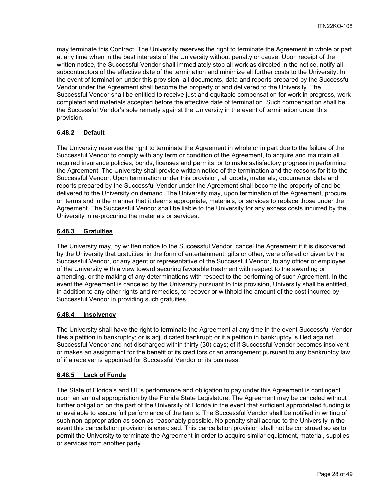may terminate this Contract. The University reserves the right to terminate the Agreement in whole or part at any time when in the best interests of the University without penalty or cause. Upon receipt of the written notice, the Successful Vendor shall immediately stop all work as directed in the notice, notify all subcontractors of the effective date of the termination and minimize all further costs to the University. In the event of termination under this provision, all documents, data and reports prepared by the Successful Vendor under the Agreement shall become the property of and delivered to the University. The Successful Vendor shall be entitled to receive just and equitable compensation for work in progress, work completed and materials accepted before the effective date of termination. Such compensation shall be the Successful Vendor's sole remedy against the University in the event of termination under this provision.

## <span id="page-27-0"></span>**6.48.2 Default**

The University reserves the right to terminate the Agreement in whole or in part due to the failure of the Successful Vendor to comply with any term or condition of the Agreement, to acquire and maintain all required insurance policies, bonds, licenses and permits, or to make satisfactory progress in performing the Agreement. The University shall provide written notice of the termination and the reasons for it to the Successful Vendor. Upon termination under this provision, all goods, materials, documents, data and reports prepared by the Successful Vendor under the Agreement shall become the property of and be delivered to the University on demand. The University may, upon termination of the Agreement, procure, on terms and in the manner that it deems appropriate, materials, or services to replace those under the Agreement. The Successful Vendor shall be liable to the University for any excess costs incurred by the University in re-procuring the materials or services.

## <span id="page-27-1"></span>**6.48.3 Gratuities**

The University may, by written notice to the Successful Vendor, cancel the Agreement if it is discovered by the University that gratuities, in the form of entertainment, gifts or other, were offered or given by the Successful Vendor, or any agent or representative of the Successful Vendor, to any officer or employee of the University with a view toward securing favorable treatment with respect to the awarding or amending, or the making of any determinations with respect to the performing of such Agreement. In the event the Agreement is canceled by the University pursuant to this provision, University shall be entitled, in addition to any other rights and remedies, to recover or withhold the amount of the cost incurred by Successful Vendor in providing such gratuities.

## <span id="page-27-2"></span>**6.48.4 Insolvency**

The University shall have the right to terminate the Agreement at any time in the event Successful Vendor files a petition in bankruptcy; or is adjudicated bankrupt; or if a petition in bankruptcy is filed against Successful Vendor and not discharged within thirty (30) days; of if Successful Vendor becomes insolvent or makes an assignment for the benefit of its creditors or an arrangement pursuant to any bankruptcy law; of if a receiver is appointed for Successful Vendor or its business.

#### <span id="page-27-3"></span>**6.48.5 Lack of Funds**

The State of Florida's and UF's performance and obligation to pay under this Agreement is contingent upon an annual appropriation by the Florida State Legislature. The Agreement may be canceled without further obligation on the part of the University of Florida in the event that sufficient appropriated funding is unavailable to assure full performance of the terms. The Successful Vendor shall be notified in writing of such non-appropriation as soon as reasonably possible. No penalty shall accrue to the University in the event this cancellation provision is exercised. This cancellation provision shall not be construed so as to permit the University to terminate the Agreement in order to acquire similar equipment, material, supplies or services from another party.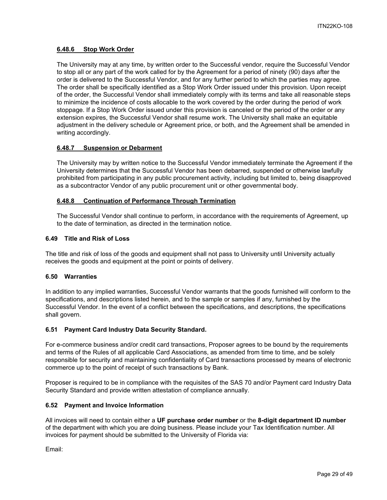## <span id="page-28-0"></span>**6.48.6 Stop Work Order**

The University may at any time, by written order to the Successful vendor, require the Successful Vendor to stop all or any part of the work called for by the Agreement for a period of ninety (90) days after the order is delivered to the Successful Vendor, and for any further period to which the parties may agree. The order shall be specifically identified as a Stop Work Order issued under this provision. Upon receipt of the order, the Successful Vendor shall immediately comply with its terms and take all reasonable steps to minimize the incidence of costs allocable to the work covered by the order during the period of work stoppage. If a Stop Work Order issued under this provision is canceled or the period of the order or any extension expires, the Successful Vendor shall resume work. The University shall make an equitable adjustment in the delivery schedule or Agreement price, or both, and the Agreement shall be amended in writing accordingly.

## <span id="page-28-1"></span>**6.48.7 Suspension or Debarment**

The University may by written notice to the Successful Vendor immediately terminate the Agreement if the University determines that the Successful Vendor has been debarred, suspended or otherwise lawfully prohibited from participating in any public procurement activity, including but limited to, being disapproved as a subcontractor Vendor of any public procurement unit or other governmental body.

#### <span id="page-28-2"></span>**6.48.8 Continuation of Performance Through Termination**

The Successful Vendor shall continue to perform, in accordance with the requirements of Agreement, up to the date of termination, as directed in the termination notice.

#### <span id="page-28-3"></span>**6.49 Title and Risk of Loss**

The title and risk of loss of the goods and equipment shall not pass to University until University actually receives the goods and equipment at the point or points of delivery.

#### <span id="page-28-4"></span>**6.50 Warranties**

In addition to any implied warranties, Successful Vendor warrants that the goods furnished will conform to the specifications, and descriptions listed herein, and to the sample or samples if any, furnished by the Successful Vendor. In the event of a conflict between the specifications, and descriptions, the specifications shall govern.

## <span id="page-28-5"></span>**6.51 Payment Card Industry Data Security Standard.**

For e-commerce business and/or credit card transactions, Proposer agrees to be bound by the requirements and terms of the Rules of all applicable Card Associations, as amended from time to time, and be solely responsible for security and maintaining confidentiality of Card transactions processed by means of electronic commerce up to the point of receipt of such transactions by Bank.

Proposer is required to be in compliance with the requisites of the SAS 70 and/or Payment card Industry Data Security Standard and provide written attestation of compliance annually.

#### <span id="page-28-6"></span>**6.52 Payment and Invoice Information**

All invoices will need to contain either a **UF purchase order number** or the **8-digit department ID number** of the department with which you are doing business. Please include your Tax Identification number. All invoices for payment should be submitted to the University of Florida via:

Email: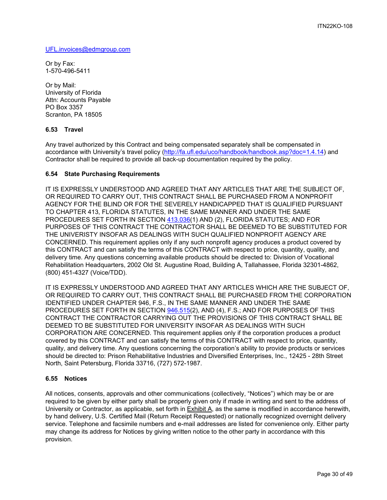[UFL.invoices@edmgroup.com](mailto:UFL.invoices@edmgroup.com)

Or by Fax: 1-570-496-5411

Or by Mail: University of Florida Attn: Accounts Payable PO Box 3357 Scranton, PA 18505

## <span id="page-29-0"></span>**6.53 Travel**

Any travel authorized by this Contract and being compensated separately shall be compensated in accordance with University's travel policy [\(http://fa.ufl.edu/uco/handbook/handbook.asp?doc=1.4.14\)](http://fa.ufl.edu/uco/handbook/handbook.asp?doc=1.4.14) and Contractor shall be required to provide all back-up documentation required by the policy.

#### <span id="page-29-1"></span>**6.54 State Purchasing Requirements**

IT IS EXPRESSLY UNDERSTOOD AND AGREED THAT ANY ARTICLES THAT ARE THE SUBJECT OF, OR REQUIRED TO CARRY OUT, THIS CONTRACT SHALL BE PURCHASED FROM A NONPROFIT AGENCY FOR THE BLIND OR FOR THE SEVERELY HANDICAPPED THAT IS QUALIFIED PURSUANT TO CHAPTER 413, FLORIDA STATUTES, IN THE SAME MANNER AND UNDER THE SAME PROCEDURES SET FORTH IN SECTION [413.036\(](http://www.leg.state.fl.us/STATUTES/index.cfm?App_mode=Display_Statute&Search_String=&URL=Ch0413/Sec036.HTM)1) AND (2), FLORIDA STATUTES; AND FOR PURPOSES OF THIS CONTRACT THE CONTRACTOR SHALL BE DEEMED TO BE SUBSTITUTED FOR THE UNIVERISTY INSOFAR AS DEALINGS WITH SUCH QUALIFIED NONPROFIT AGENCY ARE CONCERNED. This requirement applies only if any such nonprofit agency produces a product covered by this CONTRACT and can satisfy the terms of this CONTRACT with respect to price, quantity, quality, and delivery time. Any questions concerning available products should be directed to: Division of Vocational Rehabilitation Headquarters, 2002 Old St. Augustine Road, Building A, Tallahassee, Florida 32301-4862, (800) 451-4327 (Voice/TDD).

IT IS EXPRESSLY UNDERSTOOD AND AGREED THAT ANY ARTICLES WHICH ARE THE SUBJECT OF, OR REQUIRED TO CARRY OUT, THIS CONTRACT SHALL BE PURCHASED FROM THE CORPORATION IDENTIFIED UNDER CHAPTER 946, F.S., IN THE SAME MANNER AND UNDER THE SAME PROCEDURES SET FORTH IN SECTION [946.515\(](http://www.leg.state.fl.us/STATUTES/index.cfm?App_mode=Display_Statute&Search_String=&URL=Ch0946/Sec515.HTM)2), AND (4), F.S.; AND FOR PURPOSES OF THIS CONTRACT THE CONTRACTOR CARRYING OUT THE PROVISIONS OF THIS CONTRACT SHALL BE DEEMED TO BE SUBSTITUTED FOR UNIVERSITY INSOFAR AS DEALINGS WITH SUCH CORPORATION ARE CONCERNED. This requirement applies only if the corporation produces a product covered by this CONTRACT and can satisfy the terms of this CONTRACT with respect to price, quantity, quality, and delivery time. Any questions concerning the corporation's ability to provide products or services should be directed to: Prison Rehabilitative Industries and Diversified Enterprises, Inc., 12425 - 28th Street North, Saint Petersburg, Florida 33716, (727) 572-1987.

#### <span id="page-29-2"></span>**6.55 Notices**

All notices, consents, approvals and other communications (collectively, "Notices") which may be or are required to be given by either party shall be properly given only if made in writing and sent to the address of University or Contractor, as applicable, set forth in **Exhibit A**, as the same is modified in accordance herewith, by hand delivery, U.S. Certified Mail (Return Receipt Requested) or nationally recognized overnight delivery service. Telephone and facsimile numbers and e-mail addresses are listed for convenience only. Either party may change its address for Notices by giving written notice to the other party in accordance with this provision.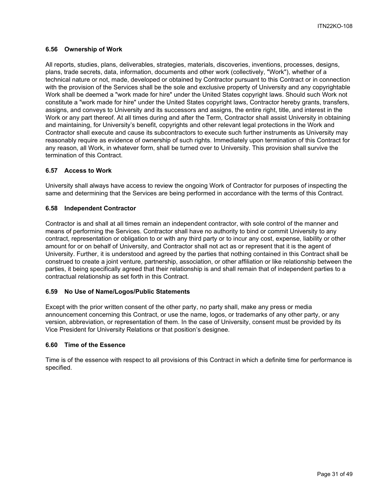#### <span id="page-30-0"></span>**6.56 Ownership of Work**

All reports, studies, plans, deliverables, strategies, materials, discoveries, inventions, processes, designs, plans, trade secrets, data, information, documents and other work (collectively, "Work"), whether of a technical nature or not, made, developed or obtained by Contractor pursuant to this Contract or in connection with the provision of the Services shall be the sole and exclusive property of University and any copyrightable Work shall be deemed a "work made for hire" under the United States copyright laws. Should such Work not constitute a "work made for hire" under the United States copyright laws, Contractor hereby grants, transfers, assigns, and conveys to University and its successors and assigns, the entire right, title, and interest in the Work or any part thereof. At all times during and after the Term, Contractor shall assist University in obtaining and maintaining, for University's benefit, copyrights and other relevant legal protections in the Work and Contractor shall execute and cause its subcontractors to execute such further instruments as University may reasonably require as evidence of ownership of such rights. Immediately upon termination of this Contract for any reason, all Work, in whatever form, shall be turned over to University. This provision shall survive the termination of this Contract.

#### <span id="page-30-1"></span>**6.57 Access to Work**

University shall always have access to review the ongoing Work of Contractor for purposes of inspecting the same and determining that the Services are being performed in accordance with the terms of this Contract.

#### <span id="page-30-2"></span>**6.58 Independent Contractor**

Contractor is and shall at all times remain an independent contractor, with sole control of the manner and means of performing the Services. Contractor shall have no authority to bind or commit University to any contract, representation or obligation to or with any third party or to incur any cost, expense, liability or other amount for or on behalf of University, and Contractor shall not act as or represent that it is the agent of University. Further, it is understood and agreed by the parties that nothing contained in this Contract shall be construed to create a joint venture, partnership, association, or other affiliation or like relationship between the parties, it being specifically agreed that their relationship is and shall remain that of independent parties to a contractual relationship as set forth in this Contract.

#### <span id="page-30-3"></span>**6.59 No Use of Name/Logos/Public Statements**

Except with the prior written consent of the other party, no party shall, make any press or media announcement concerning this Contract, or use the name, logos, or trademarks of any other party, or any version, abbreviation, or representation of them. In the case of University, consent must be provided by its Vice President for University Relations or that position's designee.

#### <span id="page-30-4"></span>**6.60 Time of the Essence**

Time is of the essence with respect to all provisions of this Contract in which a definite time for performance is specified.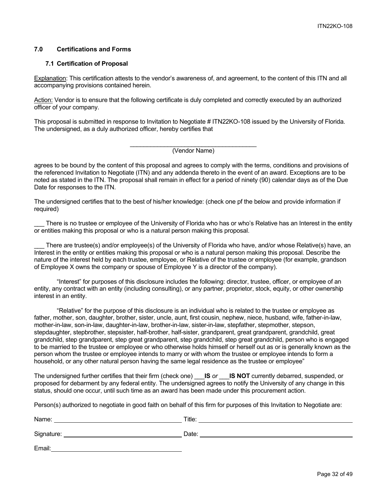## <span id="page-31-0"></span>**7.0 Certifications and Forms**

#### <span id="page-31-1"></span>**7.1 Certification of Proposal**

Explanation: This certification attests to the vendor's awareness of, and agreement, to the content of this ITN and all accompanying provisions contained herein.

Action: Vendor is to ensure that the following certificate is duly completed and correctly executed by an authorized officer of your company.

This proposal is submitted in response to Invitation to Negotiate # ITN22KO-108 issued by the University of Florida. The undersigned, as a duly authorized officer, hereby certifies that

> \_\_\_\_\_\_\_\_\_\_\_\_\_\_\_\_\_\_\_\_\_\_\_\_\_\_\_\_\_\_\_\_\_\_\_\_\_ (Vendor Name)

agrees to be bound by the content of this proposal and agrees to comply with the terms, conditions and provisions of the referenced Invitation to Negotiate (ITN) and any addenda thereto in the event of an award. Exceptions are to be noted as stated in the ITN. The proposal shall remain in effect for a period of ninety (90) calendar days as of the Due Date for responses to the ITN.

The undersigned certifies that to the best of his/her knowledge: (check one pf the below and provide information if required)

There is no trustee or employee of the University of Florida who has or who's Relative has an Interest in the entity or entities making this proposal or who is a natural person making this proposal.

There are trustee(s) and/or employee(s) of the University of Florida who have, and/or whose Relative(s) have, an Interest in the entity or entities making this proposal or who is a natural person making this proposal. Describe the nature of the interest held by each trustee, employee, or Relative of the trustee or employee (for example, grandson of Employee X owns the company or spouse of Employee Y is a director of the company).

"Interest" for purposes of this disclosure includes the following: director, trustee, officer, or employee of an entity, any contract with an entity (including consulting), or any partner, proprietor, stock, equity, or other ownership interest in an entity.

"Relative" for the purpose of this disclosure is an individual who is related to the trustee or employee as father, mother, son, daughter, brother, sister, uncle, aunt, first cousin, nephew, niece, husband, wife, father-in-law, mother-in-law, son-in-law, daughter-in-law, brother-in-law, sister-in-law, stepfather, stepmother, stepson, stepdaughter, stepbrother, stepsister, half-brother, half-sister, grandparent, great grandparent, grandchild, great grandchild, step grandparent, step great grandparent, step grandchild, step great grandchild, person who is engaged to be married to the trustee or employee or who otherwise holds himself or herself out as or is generally known as the person whom the trustee or employee intends to marry or with whom the trustee or employee intends to form a household, or any other natural person having the same legal residence as the trustee or employee"

The undersigned further certifies that their firm (check one) \_\_\_**IS** *or* \_\_\_**IS NOT** currently debarred, suspended, or proposed for debarment by any federal entity. The undersigned agrees to notify the University of any change in this status, should one occur, until such time as an award has been made under this procurement action.

Person(s) authorized to negotiate in good faith on behalf of this firm for purposes of this Invitation to Negotiate are:

| Name:      | Title: |
|------------|--------|
| Signature: | Date:  |

Email: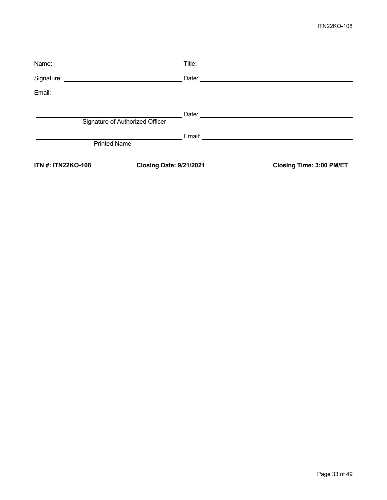## ITN22KO-108

| Email:                    | <u> 1980 - Johann Barn, mars and de Britannich (b. 1980)</u> |                                 |
|---------------------------|--------------------------------------------------------------|---------------------------------|
|                           | Signature of Authorized Officer                              |                                 |
|                           | <b>Printed Name</b>                                          |                                 |
| <b>ITN #: ITN22KO-108</b> | <b>Closing Date: 9/21/2021</b>                               | <b>Closing Time: 3:00 PM/ET</b> |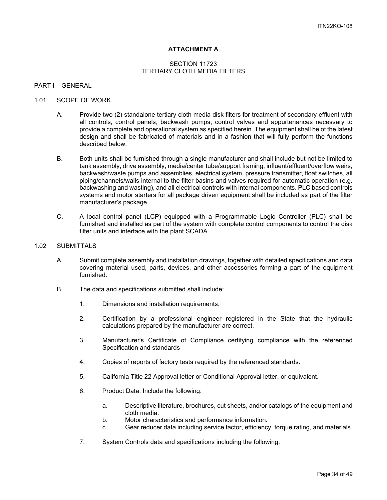## **ATTACHMENT A**

#### SECTION 11723 TERTIARY CLOTH MEDIA FILTERS

#### <span id="page-33-0"></span>PART I – GENERAL

#### 1.01 SCOPE OF WORK

- A. Provide two (2) standalone tertiary cloth media disk filters for treatment of secondary effluent with all controls, control panels, backwash pumps, control valves and appurtenances necessary to provide a complete and operational system as specified herein. The equipment shall be of the latest design and shall be fabricated of materials and in a fashion that will fully perform the functions described below.
- B. Both units shall be furnished through a single manufacturer and shall include but not be limited to tank assembly, drive assembly, media/center tube/support framing, influent/effluent/overflow weirs, backwash/waste pumps and assemblies, electrical system, pressure transmitter, float switches, all piping/channels/walls internal to the filter basins and valves required for automatic operation (e.g. backwashing and wasting), and all electrical controls with internal components. PLC based controls systems and motor starters for all package driven equipment shall be included as part of the filter manufacturer's package.
- C. A local control panel (LCP) equipped with a Programmable Logic Controller (PLC) shall be furnished and installed as part of the system with complete control components to control the disk filter units and interface with the plant SCADA

#### 1.02 SUBMITTALS

- A. Submit complete assembly and installation drawings, together with detailed specifications and data covering material used, parts, devices, and other accessories forming a part of the equipment furnished.
- B. The data and specifications submitted shall include:
	- 1. Dimensions and installation requirements.
	- 2. Certification by a professional engineer registered in the State that the hydraulic calculations prepared by the manufacturer are correct.
	- 3. Manufacturer's Certificate of Compliance certifying compliance with the referenced Specification and standards
	- 4. Copies of reports of factory tests required by the referenced standards.
	- 5. California Title 22 Approval letter or Conditional Approval letter, or equivalent.
	- 6. Product Data: Include the following:
		- a. Descriptive literature, brochures, cut sheets, and/or catalogs of the equipment and cloth media.
		- b. Motor characteristics and performance information.
		- c. Gear reducer data including service factor, efficiency, torque rating, and materials.
	- 7. System Controls data and specifications including the following: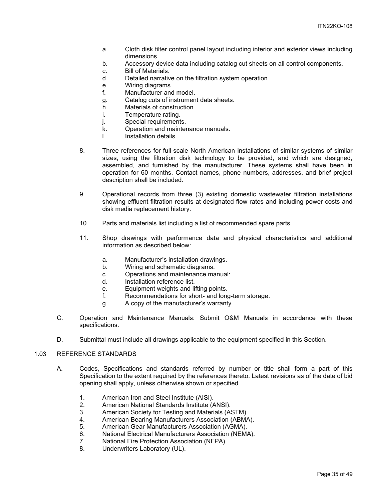- a. Cloth disk filter control panel layout including interior and exterior views including dimensions.
- b. Accessory device data including catalog cut sheets on all control components.
- c. Bill of Materials.
- d. Detailed narrative on the filtration system operation.
- e. Wiring diagrams.
- f. Manufacturer and model.
- g. Catalog cuts of instrument data sheets.
- h. Materials of construction.<br>i. Temperature rating.
- Temperature rating.
- j. Special requirements.
- k. Operation and maintenance manuals.
- l. Installation details.
- 8. Three references for full-scale North American installations of similar systems of similar sizes, using the filtration disk technology to be provided, and which are designed, assembled, and furnished by the manufacturer. These systems shall have been in operation for 60 months. Contact names, phone numbers, addresses, and brief project description shall be included.
- 9. Operational records from three (3) existing domestic wastewater filtration installations showing effluent filtration results at designated flow rates and including power costs and disk media replacement history.
- 10. Parts and materials list including a list of recommended spare parts.
- 11. Shop drawings with performance data and physical characteristics and additional information as described below:
	- a. Manufacturer's installation drawings.
	- b. Wiring and schematic diagrams.
	- c. Operations and maintenance manual:
	- d. Installation reference list.
	- e. Equipment weights and lifting points.
	- f. Recommendations for short- and long-term storage.
	- g. A copy of the manufacturer's warranty.
- C. Operation and Maintenance Manuals: Submit O&M Manuals in accordance with these specifications.
- D. Submittal must include all drawings applicable to the equipment specified in this Section.

## 1.03 REFERENCE STANDARDS

- A. Codes, Specifications and standards referred by number or title shall form a part of this Specification to the extent required by the references thereto. Latest revisions as of the date of bid opening shall apply, unless otherwise shown or specified.
	- 1. American Iron and Steel Institute (AISI).
	-
	- 2. American National Standards Institute (ANSI). American Society for Testing and Materials (ASTM).
	- 4. American Bearing Manufacturers Association (ABMA).
	-
	- 5. American Gear Manufacturers Association (AGMA). National Electrical Manufacturers Association (NEMA).
	- 7. National Fire Protection Association (NFPA).
	- 8. Underwriters Laboratory (UL).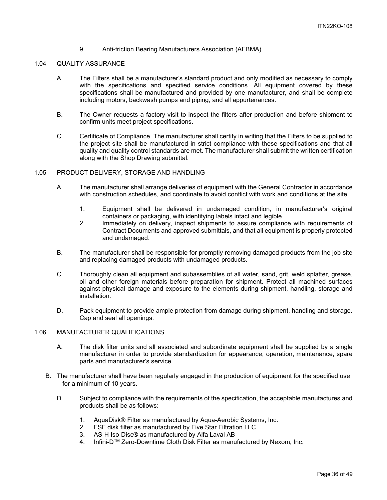9. Anti-friction Bearing Manufacturers Association (AFBMA).

## 1.04 QUALITY ASSURANCE

- A. The Filters shall be a manufacturer's standard product and only modified as necessary to comply with the specifications and specified service conditions. All equipment covered by these specifications shall be manufactured and provided by one manufacturer, and shall be complete including motors, backwash pumps and piping, and all appurtenances.
- B. The Owner requests a factory visit to inspect the filters after production and before shipment to confirm units meet project specifications.
- C. Certificate of Compliance. The manufacturer shall certify in writing that the Filters to be supplied to the project site shall be manufactured in strict compliance with these specifications and that all quality and quality control standards are met. The manufacturer shall submit the written certification along with the Shop Drawing submittal.

#### 1.05 PRODUCT DELIVERY, STORAGE AND HANDLING

- A. The manufacturer shall arrange deliveries of equipment with the General Contractor in accordance with construction schedules, and coordinate to avoid conflict with work and conditions at the site.
	- 1. Equipment shall be delivered in undamaged condition, in manufacturer's original containers or packaging, with identifying labels intact and legible.
	- 2. Immediately on delivery, inspect shipments to assure compliance with requirements of Contract Documents and approved submittals, and that all equipment is properly protected and undamaged.
- B. The manufacturer shall be responsible for promptly removing damaged products from the job site and replacing damaged products with undamaged products.
- C. Thoroughly clean all equipment and subassemblies of all water, sand, grit, weld splatter, grease, oil and other foreign materials before preparation for shipment. Protect all machined surfaces against physical damage and exposure to the elements during shipment, handling, storage and installation.
- D. Pack equipment to provide ample protection from damage during shipment, handling and storage. Cap and seal all openings.

#### 1.06 MANUFACTURER QUALIFICATIONS

- A. The disk filter units and all associated and subordinate equipment shall be supplied by a single manufacturer in order to provide standardization for appearance, operation, maintenance, spare parts and manufacturer's service.
- B. The manufacturer shall have been regularly engaged in the production of equipment for the specified use for a minimum of 10 years.
	- D. Subject to compliance with the requirements of the specification, the acceptable manufactures and products shall be as follows:
		- 1. AquaDisk® Filter as manufactured by Aqua-Aerobic Systems, Inc.
		- 2. FSF disk filter as manufactured by Five Star Filtration LLC
		- 3. AS-H Iso-Disc® as manufactured by Alfa Laval AB
		- 4. Infini-DTM Zero-Downtime Cloth Disk Filter as manufactured by Nexom, Inc.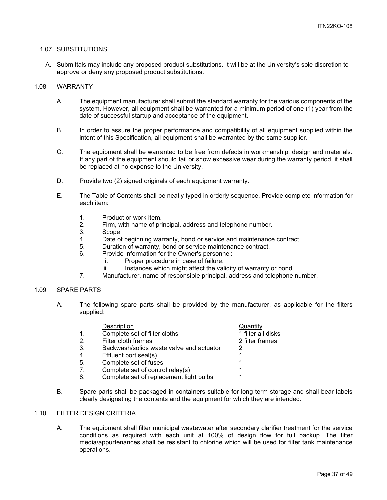#### 1.07 SUBSTITUTIONS

A. Submittals may include any proposed product substitutions. It will be at the University's sole discretion to approve or deny any proposed product substitutions.

#### 1.08 WARRANTY

- A. The equipment manufacturer shall submit the standard warranty for the various components of the system. However, all equipment shall be warranted for a minimum period of one (1) year from the date of successful startup and acceptance of the equipment.
- B. In order to assure the proper performance and compatibility of all equipment supplied within the intent of this Specification, all equipment shall be warranted by the same supplier.
- C. The equipment shall be warranted to be free from defects in workmanship, design and materials. If any part of the equipment should fail or show excessive wear during the warranty period, it shall be replaced at no expense to the University.
- D. Provide two (2) signed originals of each equipment warranty.
- E. The Table of Contents shall be neatly typed in orderly sequence. Provide complete information for each item:
	- 1. Product or work item.<br>2. Firm. with name of pri
	- Firm, with name of principal, address and telephone number.
	- 3. Scope<br>4. Date o
	- 4. Date of beginning warranty, bond or service and maintenance contract.<br>5. Duration of warranty, bond or service maintenance contract.
	- Duration of warranty, bond or service maintenance contract.
	- 6. Provide information for the Owner's personnel:
		- i. Proper procedure in case of failure.
		- ii. Instances which might affect the validity of warranty or bond.
	- 7. Manufacturer, name of responsible principal, address and telephone number.

#### 1.09 SPARE PARTS

A. The following spare parts shall be provided by the manufacturer, as applicable for the filters supplied:

|                | Description                              | Quantity           |
|----------------|------------------------------------------|--------------------|
| $\mathbf{1}$ . | Complete set of filter cloths            | 1 filter all disks |
| 2.             | Filter cloth frames                      | 2 filter frames    |
| 3.             | Backwash/solids waste valve and actuator |                    |
| 4.             | Effluent port seal(s)                    |                    |
| 5.             | Complete set of fuses                    |                    |
| 7.             | Complete set of control relay(s)         |                    |
| 8.             | Complete set of replacement light bulbs  |                    |
|                |                                          |                    |

B. Spare parts shall be packaged in containers suitable for long term storage and shall bear labels clearly designating the contents and the equipment for which they are intended.

### 1.10 FILTER DESIGN CRITERIA

A. The equipment shall filter municipal wastewater after secondary clarifier treatment for the service conditions as required with each unit at 100% of design flow for full backup. The filter media/appurtenances shall be resistant to chlorine which will be used for filter tank maintenance operations.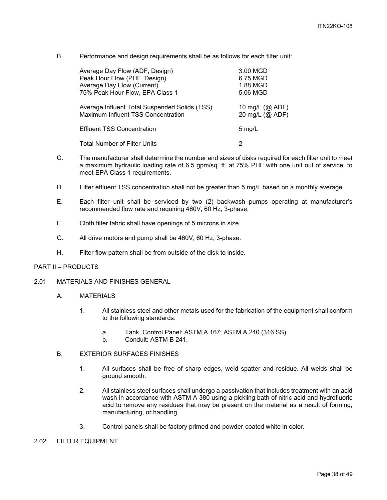B. Performance and design requirements shall be as follows for each filter unit:

| Average Day Flow (ADF, Design)                | 3.00 MGD        |
|-----------------------------------------------|-----------------|
| Peak Hour Flow (PHF, Design)                  | 6.75 MGD        |
| Average Day Flow (Current)                    | 1.88 MGD        |
| 75% Peak Hour Flow, EPA Class 1               | 5.06 MGD        |
| Average Influent Total Suspended Solids (TSS) | 10 mg/L (@ ADF) |
| Maximum Influent TSS Concentration            | 20 mg/L (@ ADF) |
| <b>Effluent TSS Concentration</b>             | $5$ mg/L        |
| <b>Total Number of Filter Units</b>           | 2               |

- C. The manufacturer shall determine the number and sizes of disks required for each filter unit to meet a maximum hydraulic loading rate of 6.5 gpm/sq. ft. at 75% PHF with one unit out of service, to meet EPA Class 1 requirements.
- D. Filter effluent TSS concentration shall not be greater than 5 mg/L based on a monthly average.
- E. Each filter unit shall be serviced by two (2) backwash pumps operating at manufacturer's recommended flow rate and requiring 460V, 60 Hz, 3-phase.
- F. Cloth filter fabric shall have openings of 5 microns in size.
- G. All drive motors and pump shall be 460V, 60 Hz, 3-phase.
- H. Filter flow pattern shall be from outside of the disk to inside.

#### PART II – PRODUCTS

- 2.01 MATERIALS AND FINISHES GENERAL
	- A. MATERIALS
		- 1. All stainless steel and other metals used for the fabrication of the equipment shall conform to the following standards:
			- a. Tank, Control Panel: ASTM A 167; ASTM A 240 (316 SS)
			- b. Conduit: ASTM B 241.

## B. EXTERIOR SURFACES FINISHES

- 1. All surfaces shall be free of sharp edges, weld spatter and residue. All welds shall be ground smooth.
- 2. All stainless steel surfaces shall undergo a passivation that includes treatment with an acid wash in accordance with ASTM A 380 using a pickling bath of nitric acid and hydrofluoric acid to remove any residues that may be present on the material as a result of forming, manufacturing, or handling.
- 3. Control panels shall be factory primed and powder-coated white in color.
- 2.02 FILTER EQUIPMENT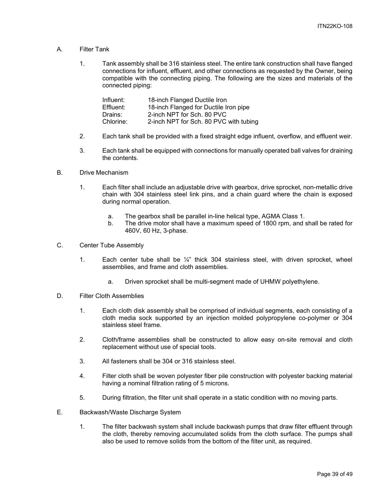- A. Filter Tank
	- 1. Tank assembly shall be 316 stainless steel. The entire tank construction shall have flanged connections for influent, effluent, and other connections as requested by the Owner, being compatible with the connecting piping. The following are the sizes and materials of the connected piping:

| Influent: | 18-inch Flanged Ductile Iron           |
|-----------|----------------------------------------|
| Effluent: | 18-inch Flanged for Ductile Iron pipe  |
| Drains:   | 2-inch NPT for Sch. 80 PVC             |
| Chlorine: | 2-inch NPT for Sch. 80 PVC with tubing |

- 2. Each tank shall be provided with a fixed straight edge influent, overflow, and effluent weir.
- 3. Each tank shall be equipped with connections for manually operated ball valves for draining the contents.
- B. Drive Mechanism
	- 1. Each filter shall include an adjustable drive with gearbox, drive sprocket, non-metallic drive chain with 304 stainless steel link pins, and a chain guard where the chain is exposed during normal operation.
		- a. The gearbox shall be parallel in-line helical type, AGMA Class 1.
		- b. The drive motor shall have a maximum speed of 1800 rpm, and shall be rated for 460V, 60 Hz, 3-phase.
- C. Center Tube Assembly
	- 1. Each center tube shall be  $\frac{1}{4}$ " thick 304 stainless steel, with driven sprocket, wheel assemblies, and frame and cloth assemblies.
		- a. Driven sprocket shall be multi-segment made of UHMW polyethylene.
- D. Filter Cloth Assemblies
	- 1. Each cloth disk assembly shall be comprised of individual segments, each consisting of a cloth media sock supported by an injection molded polypropylene co-polymer or 304 stainless steel frame.
	- 2. Cloth/frame assemblies shall be constructed to allow easy on-site removal and cloth replacement without use of special tools.
	- 3. All fasteners shall be 304 or 316 stainless steel.
	- 4. Filter cloth shall be woven polyester fiber pile construction with polyester backing material having a nominal filtration rating of 5 microns.
	- 5. During filtration, the filter unit shall operate in a static condition with no moving parts.
- E. Backwash/Waste Discharge System
	- 1. The filter backwash system shall include backwash pumps that draw filter effluent through the cloth, thereby removing accumulated solids from the cloth surface. The pumps shall also be used to remove solids from the bottom of the filter unit, as required.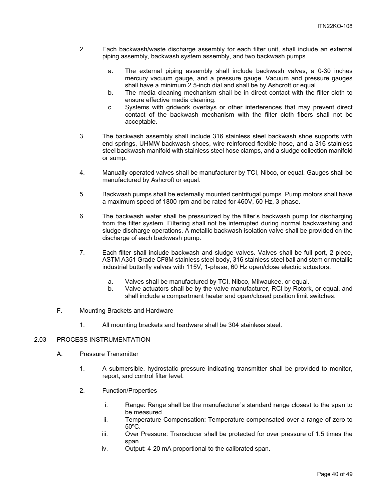- 2. Each backwash/waste discharge assembly for each filter unit, shall include an external piping assembly, backwash system assembly, and two backwash pumps.
	- a. The external piping assembly shall include backwash valves, a 0-30 inches mercury vacuum gauge, and a pressure gauge. Vacuum and pressure gauges shall have a minimum 2.5-inch dial and shall be by Ashcroft or equal.
	- b. The media cleaning mechanism shall be in direct contact with the filter cloth to ensure effective media cleaning.
	- c. Systems with gridwork overlays or other interferences that may prevent direct contact of the backwash mechanism with the filter cloth fibers shall not be acceptable.
- 3. The backwash assembly shall include 316 stainless steel backwash shoe supports with end springs, UHMW backwash shoes, wire reinforced flexible hose, and a 316 stainless steel backwash manifold with stainless steel hose clamps, and a sludge collection manifold or sump.
- 4. Manually operated valves shall be manufacturer by TCI, Nibco, or equal. Gauges shall be manufactured by Ashcroft or equal.
- 5. Backwash pumps shall be externally mounted centrifugal pumps. Pump motors shall have a maximum speed of 1800 rpm and be rated for 460V, 60 Hz, 3-phase.
- 6. The backwash water shall be pressurized by the filter's backwash pump for discharging from the filter system. Filtering shall not be interrupted during normal backwashing and sludge discharge operations. A metallic backwash isolation valve shall be provided on the discharge of each backwash pump.
- 7. Each filter shall include backwash and sludge valves. Valves shall be full port, 2 piece, ASTM A351 Grade CF8M stainless steel body, 316 stainless steel ball and stem or metallic industrial butterfly valves with 115V, 1-phase, 60 Hz open/close electric actuators.
	- a. Valves shall be manufactured by TCI, Nibco, Milwaukee, or equal.
	- b. Valve actuators shall be by the valve manufacturer, RCI by Rotork, or equal, and shall include a compartment heater and open/closed position limit switches.
- F. Mounting Brackets and Hardware
	- 1. All mounting brackets and hardware shall be 304 stainless steel.

#### 2.03 PROCESS INSTRUMENTATION

- A. Pressure Transmitter
	- 1. A submersible, hydrostatic pressure indicating transmitter shall be provided to monitor, report, and control filter level.
	- 2. Function/Properties
		- i. Range: Range shall be the manufacturer's standard range closest to the span to be measured.
		- ii. Temperature Compensation: Temperature compensated over a range of zero to 50ºC.
		- iii. Over Pressure: Transducer shall be protected for over pressure of 1.5 times the span.
		- iv. Output: 4-20 mA proportional to the calibrated span.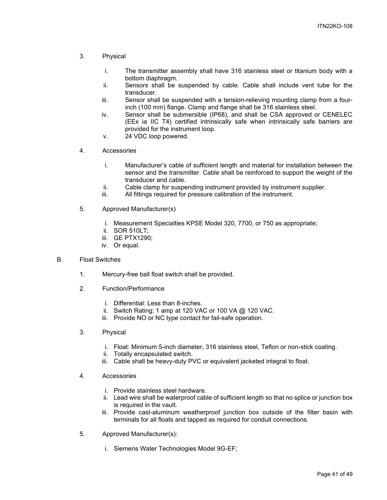- 3. Physical
	- i. The transmitter assembly shall have 316 stainless steel or titanium body with a bottom diaphragm.
	- ii. Sensors shall be suspended by cable. Cable shall include vent tube for the transducer.
	- iii. Sensor shall be suspended with a tension-relieving mounting clamp from a fourinch (100 mm) flange. Clamp and flange shall be 316 stainless steel.
	- iv. Sensor shall be submersible (IP68), and shall be CSA approved or CENELEC (EEx ia IIC T4) certified intrinsically safe when intrinsically safe barriers are provided for the instrument loop.
	- v. 24 VDC loop powered.
- 4. Accessories
	- i. Manufacturer's cable of sufficient length and material for installation between the sensor and the transmitter. Cable shall be reinforced to support the weight of the transducer and cable.
	- ii. Cable clamp for suspending instrument provided by instrument supplier.<br>iii. All fittings required for pressure calibration of the instrument.
	- All fittings required for pressure calibration of the instrument.
- 5. Approved Manufacturer(s)
	- i. Measurement Specialties KPSE Model 320, 7700, or 750 as appropriate;
	- ii. SOR 510LT;
	- iii. GE PTX1290;
	- iv. Or equal.
- B. Float Switches
	- 1. Mercury-free ball float switch shall be provided.
	- 2. Function/Performance
		- i. Differential: Less than 8-inches.
		- ii. Switch Rating: 1 amp at 120 VAC or 100 VA @ 120 VAC.
		- iii. Provide NO or NC type contact for fail-safe operation.
	- 3. Physical
		- i. Float: Minimum 5-inch diameter, 316 stainless steel, Teflon or non-stick coating.
		- ii. Totally encapsulated switch.
		- iii. Cable shall be heavy-duty PVC or equivalent jacketed integral to float.
	- 4. Accessories
		- i. Provide stainless steel hardware.
		- ii. Lead wire shall be waterproof cable of sufficient length so that no splice or junction box is required in the vault.
		- iii. Provide cast-aluminum weatherproof junction box outside of the filter basin with terminals for all floats and tapped as required for conduit connections.
	- 5. Approved Manufacturer(s):
		- i. Siemens Water Technologies Model 9G-EF;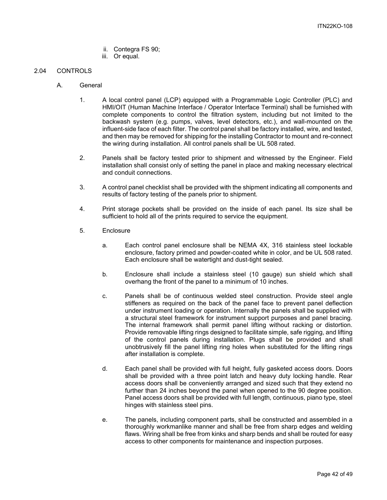- ii. Contegra FS 90;
- iii. Or equal.

#### 2.04 CONTROLS

- A. General
	- 1. A local control panel (LCP) equipped with a Programmable Logic Controller (PLC) and HMI/OIT (Human Machine Interface / Operator Interface Terminal) shall be furnished with complete components to control the filtration system, including but not limited to the backwash system (e.g. pumps, valves, level detectors, etc.), and wall-mounted on the influent-side face of each filter. The control panel shall be factory installed, wire, and tested, and then may be removed for shipping for the installing Contractor to mount and re-connect the wiring during installation. All control panels shall be UL 508 rated.
	- 2. Panels shall be factory tested prior to shipment and witnessed by the Engineer. Field installation shall consist only of setting the panel in place and making necessary electrical and conduit connections.
	- 3. A control panel checklist shall be provided with the shipment indicating all components and results of factory testing of the panels prior to shipment.
	- 4. Print storage pockets shall be provided on the inside of each panel. Its size shall be sufficient to hold all of the prints required to service the equipment.
	- 5. Enclosure
		- a. Each control panel enclosure shall be NEMA 4X, 316 stainless steel lockable enclosure, factory primed and powder-coated white in color, and be UL 508 rated. Each enclosure shall be watertight and dust-tight sealed.
		- b. Enclosure shall include a stainless steel (10 gauge) sun shield which shall overhang the front of the panel to a minimum of 10 inches.
		- c. Panels shall be of continuous welded steel construction. Provide steel angle stiffeners as required on the back of the panel face to prevent panel deflection under instrument loading or operation. Internally the panels shall be supplied with a structural steel framework for instrument support purposes and panel bracing. The internal framework shall permit panel lifting without racking or distortion. Provide removable lifting rings designed to facilitate simple, safe rigging, and lifting of the control panels during installation. Plugs shall be provided and shall unobtrusively fill the panel lifting ring holes when substituted for the lifting rings after installation is complete.
		- d. Each panel shall be provided with full height, fully gasketed access doors. Doors shall be provided with a three point latch and heavy duty locking handle. Rear access doors shall be conveniently arranged and sized such that they extend no further than 24 inches beyond the panel when opened to the 90 degree position. Panel access doors shall be provided with full length, continuous, piano type, steel hinges with stainless steel pins.
		- e. The panels, including component parts, shall be constructed and assembled in a thoroughly workmanlike manner and shall be free from sharp edges and welding flaws. Wiring shall be free from kinks and sharp bends and shall be routed for easy access to other components for maintenance and inspection purposes.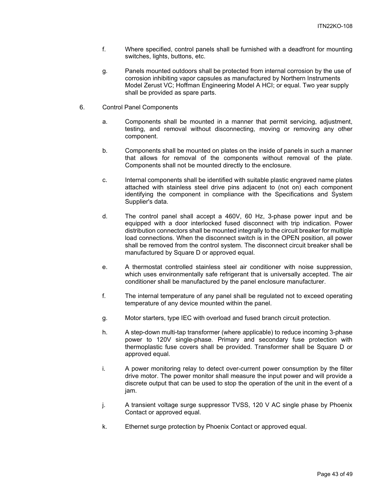- f. Where specified, control panels shall be furnished with a deadfront for mounting switches, lights, buttons, etc.
- g. Panels mounted outdoors shall be protected from internal corrosion by the use of corrosion inhibiting vapor capsules as manufactured by Northern Instruments Model Zerust VC; Hoffman Engineering Model A HCI; or equal. Two year supply shall be provided as spare parts.
- 6. Control Panel Components
	- a. Components shall be mounted in a manner that permit servicing, adjustment, testing, and removal without disconnecting, moving or removing any other component.
	- b. Components shall be mounted on plates on the inside of panels in such a manner that allows for removal of the components without removal of the plate. Components shall not be mounted directly to the enclosure.
	- c. Internal components shall be identified with suitable plastic engraved name plates attached with stainless steel drive pins adjacent to (not on) each component identifying the component in compliance with the Specifications and System Supplier's data.
	- d. The control panel shall accept a 460V, 60 Hz, 3-phase power input and be equipped with a door interlocked fused disconnect with trip indication. Power distribution connectors shall be mounted integrally to the circuit breaker for multiple load connections. When the disconnect switch is in the OPEN position, all power shall be removed from the control system. The disconnect circuit breaker shall be manufactured by Square D or approved equal.
	- e. A thermostat controlled stainless steel air conditioner with noise suppression, which uses environmentally safe refrigerant that is universally accepted. The air conditioner shall be manufactured by the panel enclosure manufacturer.
	- f. The internal temperature of any panel shall be regulated not to exceed operating temperature of any device mounted within the panel.
	- g. Motor starters, type IEC with overload and fused branch circuit protection.
	- h. A step-down multi-tap transformer (where applicable) to reduce incoming 3-phase power to 120V single-phase. Primary and secondary fuse protection with thermoplastic fuse covers shall be provided. Transformer shall be Square D or approved equal.
	- i. A power monitoring relay to detect over-current power consumption by the filter drive motor. The power monitor shall measure the input power and will provide a discrete output that can be used to stop the operation of the unit in the event of a jam.
	- j. A transient voltage surge suppressor TVSS, 120 V AC single phase by Phoenix Contact or approved equal.
	- k. Ethernet surge protection by Phoenix Contact or approved equal.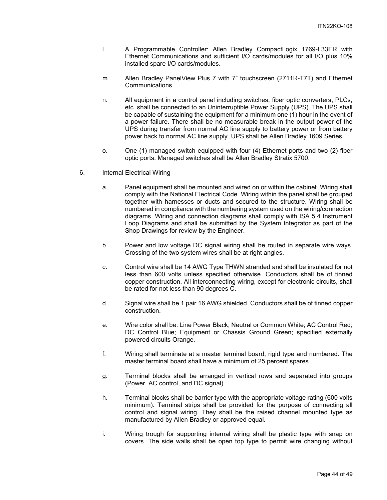- l. A Programmable Controller: Allen Bradley CompactLogix 1769-L33ER with Ethernet Communications and sufficient I/O cards/modules for all I/O plus 10% installed spare I/O cards/modules.
- m. Allen Bradley PanelView Plus 7 with 7" touchscreen (2711R-T7T) and Ethernet Communications.
- n. All equipment in a control panel including switches, fiber optic converters, PLCs, etc. shall be connected to an Uninterruptible Power Supply (UPS). The UPS shall be capable of sustaining the equipment for a minimum one (1) hour in the event of a power failure. There shall be no measurable break in the output power of the UPS during transfer from normal AC line supply to battery power or from battery power back to normal AC line supply. UPS shall be Allen Bradley 1609 Series
- o. One (1) managed switch equipped with four (4) Ethernet ports and two (2) fiber optic ports. Managed switches shall be Allen Bradley Stratix 5700.
- 6. Internal Electrical Wiring
	- a. Panel equipment shall be mounted and wired on or within the cabinet. Wiring shall comply with the National Electrical Code. Wiring within the panel shall be grouped together with harnesses or ducts and secured to the structure. Wiring shall be numbered in compliance with the numbering system used on the wiring/connection diagrams. Wiring and connection diagrams shall comply with ISA 5.4 Instrument Loop Diagrams and shall be submitted by the System Integrator as part of the Shop Drawings for review by the Engineer.
	- b. Power and low voltage DC signal wiring shall be routed in separate wire ways. Crossing of the two system wires shall be at right angles.
	- c. Control wire shall be 14 AWG Type THWN stranded and shall be insulated for not less than 600 volts unless specified otherwise. Conductors shall be of tinned copper construction. All interconnecting wiring, except for electronic circuits, shall be rated for not less than 90 degrees C.
	- d. Signal wire shall be 1 pair 16 AWG shielded. Conductors shall be of tinned copper construction.
	- e. Wire color shall be: Line Power Black; Neutral or Common White; AC Control Red; DC Control Blue; Equipment or Chassis Ground Green; specified externally powered circuits Orange.
	- f. Wiring shall terminate at a master terminal board, rigid type and numbered. The master terminal board shall have a minimum of 25 percent spares.
	- g. Terminal blocks shall be arranged in vertical rows and separated into groups (Power, AC control, and DC signal).
	- h. Terminal blocks shall be barrier type with the appropriate voltage rating (600 volts minimum). Terminal strips shall be provided for the purpose of connecting all control and signal wiring. They shall be the raised channel mounted type as manufactured by Allen Bradley or approved equal.
	- i. Wiring trough for supporting internal wiring shall be plastic type with snap on covers. The side walls shall be open top type to permit wire changing without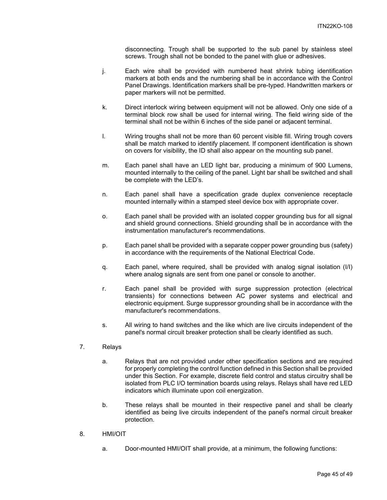disconnecting. Trough shall be supported to the sub panel by stainless steel screws. Trough shall not be bonded to the panel with glue or adhesives.

- j. Each wire shall be provided with numbered heat shrink tubing identification markers at both ends and the numbering shall be in accordance with the Control Panel Drawings. Identification markers shall be pre-typed. Handwritten markers or paper markers will not be permitted.
- k. Direct interlock wiring between equipment will not be allowed. Only one side of a terminal block row shall be used for internal wiring. The field wiring side of the terminal shall not be within 6 inches of the side panel or adjacent terminal.
- l. Wiring troughs shall not be more than 60 percent visible fill. Wiring trough covers shall be match marked to identify placement. If component identification is shown on covers for visibility, the ID shall also appear on the mounting sub panel.
- m. Each panel shall have an LED light bar, producing a minimum of 900 Lumens, mounted internally to the ceiling of the panel. Light bar shall be switched and shall be complete with the LED's.
- n. Each panel shall have a specification grade duplex convenience receptacle mounted internally within a stamped steel device box with appropriate cover.
- o. Each panel shall be provided with an isolated copper grounding bus for all signal and shield ground connections. Shield grounding shall be in accordance with the instrumentation manufacturer's recommendations.
- p. Each panel shall be provided with a separate copper power grounding bus (safety) in accordance with the requirements of the National Electrical Code.
- q. Each panel, where required, shall be provided with analog signal isolation (I/I) where analog signals are sent from one panel or console to another.
- r. Each panel shall be provided with surge suppression protection (electrical transients) for connections between AC power systems and electrical and electronic equipment. Surge suppressor grounding shall be in accordance with the manufacturer's recommendations.
- s. All wiring to hand switches and the like which are live circuits independent of the panel's normal circuit breaker protection shall be clearly identified as such.
- 7. Relays
	- a. Relays that are not provided under other specification sections and are required for properly completing the control function defined in this Section shall be provided under this Section. For example, discrete field control and status circuitry shall be isolated from PLC I/O termination boards using relays. Relays shall have red LED indicators which illuminate upon coil energization.
	- b. These relays shall be mounted in their respective panel and shall be clearly identified as being live circuits independent of the panel's normal circuit breaker protection.
- 8. HMI/OIT
	- a. Door-mounted HMI/OIT shall provide, at a minimum, the following functions: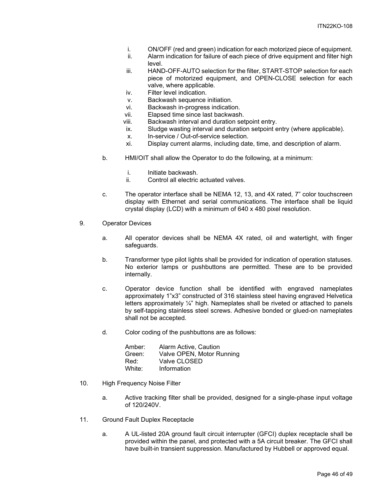- i. ON/OFF (red and green) indication for each motorized piece of equipment.
- ii. Alarm indication for failure of each piece of drive equipment and filter high level.
- iii. HAND-OFF-AUTO selection for the filter, START-STOP selection for each piece of motorized equipment, and OPEN-CLOSE selection for each valve, where applicable.
- iv. Filter level indication.
- v. Backwash sequence initiation.<br>vi. Backwash in-progress indication
- Backwash in-progress indication.
- vii. Elapsed time since last backwash.
- viii. Backwash interval and duration setpoint entry.
- ix. Sludge wasting interval and duration setpoint entry (where applicable).
- x. In-service / Out-of-service selection.
- xi. Display current alarms, including date, time, and description of alarm.
- b. HMI/OIT shall allow the Operator to do the following, at a minimum:
	- i. Initiate backwash.
	- ii. Control all electric actuated valves.
- c. The operator interface shall be NEMA 12, 13, and 4X rated, 7" color touchscreen display with Ethernet and serial communications. The interface shall be liquid crystal display (LCD) with a minimum of 640 x 480 pixel resolution.
- 9. Operator Devices
	- a. All operator devices shall be NEMA 4X rated, oil and watertight, with finger safeguards.
	- b. Transformer type pilot lights shall be provided for indication of operation statuses. No exterior lamps or pushbuttons are permitted. These are to be provided internally.
	- c. Operator device function shall be identified with engraved nameplates approximately 1"x3" constructed of 316 stainless steel having engraved Helvetica letters approximately ¼" high. Nameplates shall be riveted or attached to panels by self-tapping stainless steel screws. Adhesive bonded or glued-on nameplates shall not be accepted.
	- d. Color coding of the pushbuttons are as follows:

| Amber: | Alarm Active, Caution     |
|--------|---------------------------|
| Green: | Valve OPEN, Motor Running |
| Red:   | Valve CLOSED              |
| White: | Information               |

- 10. High Frequency Noise Filter
	- a. Active tracking filter shall be provided, designed for a single-phase input voltage of 120/240V.
- 11. Ground Fault Duplex Receptacle
	- a. A UL-listed 20A ground fault circuit interrupter (GFCI) duplex receptacle shall be provided within the panel, and protected with a 5A circuit breaker. The GFCI shall have built-in transient suppression. Manufactured by Hubbell or approved equal.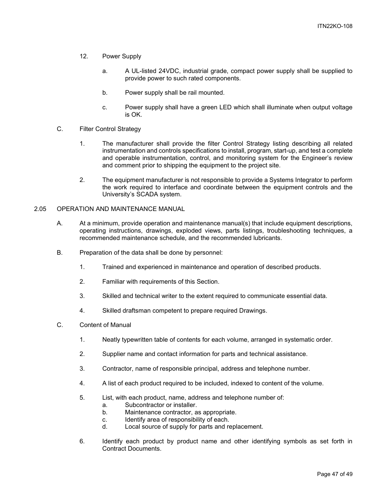- 12. Power Supply
	- a. A UL-listed 24VDC, industrial grade, compact power supply shall be supplied to provide power to such rated components.
	- b. Power supply shall be rail mounted.
	- c. Power supply shall have a green LED which shall illuminate when output voltage is OK.
- C. Filter Control Strategy
	- 1. The manufacturer shall provide the filter Control Strategy listing describing all related instrumentation and controls specifications to install, program, start-up, and test a complete and operable instrumentation, control, and monitoring system for the Engineer's review and comment prior to shipping the equipment to the project site.
	- 2. The equipment manufacturer is not responsible to provide a Systems Integrator to perform the work required to interface and coordinate between the equipment controls and the University's SCADA system.
- 2.05 OPERATION AND MAINTENANCE MANUAL
	- A. At a minimum, provide operation and maintenance manual(s) that include equipment descriptions, operating instructions, drawings, exploded views, parts listings, troubleshooting techniques, a recommended maintenance schedule, and the recommended lubricants.
	- B. Preparation of the data shall be done by personnel:
		- 1. Trained and experienced in maintenance and operation of described products.
		- 2. Familiar with requirements of this Section.
		- 3. Skilled and technical writer to the extent required to communicate essential data.
		- 4. Skilled draftsman competent to prepare required Drawings.
	- C. Content of Manual
		- 1. Neatly typewritten table of contents for each volume, arranged in systematic order.
		- 2. Supplier name and contact information for parts and technical assistance.
		- 3. Contractor, name of responsible principal, address and telephone number.
		- 4. A list of each product required to be included, indexed to content of the volume.
		- 5. List, with each product, name, address and telephone number of:
			- a. Subcontractor or installer.
			- b. Maintenance contractor, as appropriate.
			- c. Identify area of responsibility of each.
			- d. Local source of supply for parts and replacement.
		- 6. Identify each product by product name and other identifying symbols as set forth in Contract Documents.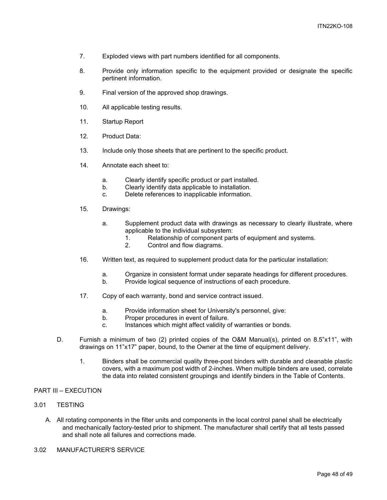- 7. Exploded views with part numbers identified for all components.
- 8. Provide only information specific to the equipment provided or designate the specific pertinent information.
- 9. Final version of the approved shop drawings.
- 10. All applicable testing results.
- 11. Startup Report
- 12. Product Data:
- 13. Include only those sheets that are pertinent to the specific product.
- 14. Annotate each sheet to:
	- a. Clearly identify specific product or part installed.
	- b. Clearly identify data applicable to installation.
	- c. Delete references to inapplicable information.
- 15. Drawings:
	- a. Supplement product data with drawings as necessary to clearly illustrate, where applicable to the individual subsystem:
		- 1. Relationship of component parts of equipment and systems.
		- 2. Control and flow diagrams.
- 16. Written text, as required to supplement product data for the particular installation:
	- a. Organize in consistent format under separate headings for different procedures.
	- b. Provide logical sequence of instructions of each procedure.
- 17. Copy of each warranty, bond and service contract issued.
	- a. Provide information sheet for University's personnel, give:
	- b. Proper procedures in event of failure.
	- c. Instances which might affect validity of warranties or bonds.
- D. Furnish a minimum of two (2) printed copies of the O&M Manual(s), printed on 8.5"x11", with drawings on 11"x17" paper, bound, to the Owner at the time of equipment delivery.
	- 1. Binders shall be commercial quality three-post binders with durable and cleanable plastic covers, with a maximum post width of 2-inches. When multiple binders are used, correlate the data into related consistent groupings and identify binders in the Table of Contents.

#### PART III – EXECUTION

- 3.01 TESTING
	- A. All rotating components in the filter units and components in the local control panel shall be electrically and mechanically factory-tested prior to shipment. The manufacturer shall certify that all tests passed and shall note all failures and corrections made.
- 3.02 MANUFACTURER'S SERVICE